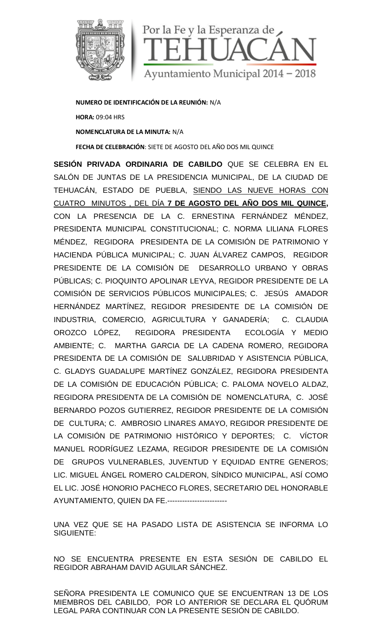

**NUMERO DE IDENTIFICACIÓN DE LA REUNIÓN:** N/A **HORA:** 09:04 HRS **NOMENCLATURA DE LA MINUTA:** N/A **FECHA DE CELEBRACIÓN**: SIETE DE AGOSTO DEL AÑO DOS MIL QUINCE

**SESIÓN PRIVADA ORDINARIA DE CABILDO** QUE SE CELEBRA EN EL SALÓN DE JUNTAS DE LA PRESIDENCIA MUNICIPAL, DE LA CIUDAD DE TEHUACÁN, ESTADO DE PUEBLA, SIENDO LAS NUEVE HORAS CON CUATRO MINUTOS , DEL DÍA **7 DE AGOSTO DEL AÑO DOS MIL QUINCE,** CON LA PRESENCIA DE LA C. ERNESTINA FERNÁNDEZ MÉNDEZ, PRESIDENTA MUNICIPAL CONSTITUCIONAL; C. NORMA LILIANA FLORES MÉNDEZ, REGIDORA PRESIDENTA DE LA COMISIÓN DE PATRIMONIO Y HACIENDA PÚBLICA MUNICIPAL; C. JUAN ÁLVAREZ CAMPOS, REGIDOR PRESIDENTE DE LA COMISIÓN DE DESARROLLO URBANO Y OBRAS PÚBLICAS; C. PIOQUINTO APOLINAR LEYVA, REGIDOR PRESIDENTE DE LA COMISIÓN DE SERVICIOS PÚBLICOS MUNICIPALES; C. JESÚS AMADOR HERNÁNDEZ MARTÍNEZ, REGIDOR PRESIDENTE DE LA COMISIÓN DE INDUSTRIA, COMERCIO, AGRICULTURA Y GANADERÍA; C. CLAUDIA OROZCO LÓPEZ, REGIDORA PRESIDENTA ECOLOGÍA Y MEDIO AMBIENTE; C. MARTHA GARCIA DE LA CADENA ROMERO, REGIDORA PRESIDENTA DE LA COMISIÓN DE SALUBRIDAD Y ASISTENCIA PÚBLICA, C. GLADYS GUADALUPE MARTÍNEZ GONZÁLEZ, REGIDORA PRESIDENTA DE LA COMISIÓN DE EDUCACIÓN PÚBLICA; C. PALOMA NOVELO ALDAZ, REGIDORA PRESIDENTA DE LA COMISIÓN DE NOMENCLATURA, C. JOSÉ BERNARDO POZOS GUTIERREZ, REGIDOR PRESIDENTE DE LA COMISIÓN DE CULTURA; C. AMBROSIO LINARES AMAYO, REGIDOR PRESIDENTE DE LA COMISIÓN DE PATRIMONIO HISTÓRICO Y DEPORTES; C. VÍCTOR MANUEL RODRÍGUEZ LEZAMA, REGIDOR PRESIDENTE DE LA COMISIÓN DE GRUPOS VULNERABLES, JUVENTUD Y EQUIDAD ENTRE GENEROS; LIC. MIGUEL ÁNGEL ROMERO CALDERON, SÍNDICO MUNICIPAL, ASÍ COMO EL LIC. JOSÉ HONORIO PACHECO FLORES, SECRETARIO DEL HONORABLE AYUNTAMIENTO, QUIEN DA FE.------------------------

UNA VEZ QUE SE HA PASADO LISTA DE ASISTENCIA SE INFORMA LO SIGUIENTE:

NO SE ENCUENTRA PRESENTE EN ESTA SESIÓN DE CABILDO EL REGIDOR ABRAHAM DAVID AGUILAR SÁNCHEZ.

SEÑORA PRESIDENTA LE COMUNICO QUE SE ENCUENTRAN 13 DE LOS MIEMBROS DEL CABILDO, POR LO ANTERIOR SE DECLARA EL QUÓRUM LEGAL PARA CONTINUAR CON LA PRESENTE SESIÓN DE CABILDO.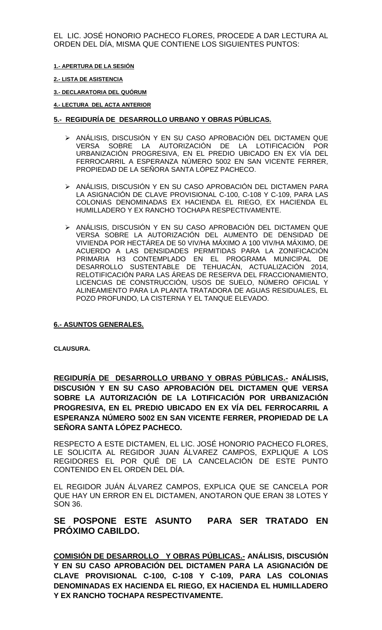EL LIC. JOSÉ HONORIO PACHECO FLORES, PROCEDE A DAR LECTURA AL ORDEN DEL DÍA, MISMA QUE CONTIENE LOS SIGUIENTES PUNTOS:

**1.- APERTURA DE LA SESIÓN**

#### **2.- LISTA DE ASISTENCIA**

#### **3.- DECLARATORIA DEL QUÓRUM**

**4.- LECTURA DEL ACTA ANTERIOR**

## **5.- REGIDURÍA DE DESARROLLO URBANO Y OBRAS PÚBLICAS.**

- ANÁLISIS, DISCUSIÓN Y EN SU CASO APROBACIÓN DEL DICTAMEN QUE VERSA SOBRE LA AUTORIZACIÓN DE LA LOTIFICACIÓN POR URBANIZACIÓN PROGRESIVA, EN EL PREDIO UBICADO EN EX VÍA DEL FERROCARRIL A ESPERANZA NÚMERO 5002 EN SAN VICENTE FERRER, PROPIEDAD DE LA SEÑORA SANTA LÓPEZ PACHECO.
- > ANÁLISIS, DISCUSIÓN Y EN SU CASO APROBACIÓN DEL DICTAMEN PARA LA ASIGNACIÓN DE CLAVE PROVISIONAL C-100, C-108 Y C-109, PARA LAS COLONIAS DENOMINADAS EX HACIENDA EL RIEGO, EX HACIENDA EL HUMILLADERO Y EX RANCHO TOCHAPA RESPECTIVAMENTE.
- ANÁLISIS, DISCUSIÓN Y EN SU CASO APROBACIÓN DEL DICTAMEN QUE VERSA SOBRE LA AUTORIZACIÓN DEL AUMENTO DE DENSIDAD DE VIVIENDA POR HECTÁREA DE 50 VIV/HA MÁXIMO A 100 VIV/HA MÁXIMO, DE ACUERDO A LAS DENSIDADES PERMITIDAS PARA LA ZONIFICACIÓN PRIMARIA H3 CONTEMPLADO EN EL PROGRAMA MUNICIPAL DE DESARROLLO SUSTENTABLE DE TEHUACÁN, ACTUALIZACIÓN 2014, RELOTIFICACIÓN PARA LAS ÁREAS DE RESERVA DEL FRACCIONAMIENTO, LICENCIAS DE CONSTRUCCIÓN, USOS DE SUELO, NÚMERO OFICIAL Y ALINEAMIENTO PARA LA PLANTA TRATADORA DE AGUAS RESIDUALES, EL POZO PROFUNDO, LA CISTERNA Y EL TANQUE ELEVADO.

# **6.- ASUNTOS GENERALES.**

**CLAUSURA.**

**REGIDURÍA DE DESARROLLO URBANO Y OBRAS PÚBLICAS.- ANÁLISIS, DISCUSIÓN Y EN SU CASO APROBACIÓN DEL DICTAMEN QUE VERSA SOBRE LA AUTORIZACIÓN DE LA LOTIFICACIÓN POR URBANIZACIÓN PROGRESIVA, EN EL PREDIO UBICADO EN EX VÍA DEL FERROCARRIL A ESPERANZA NÚMERO 5002 EN SAN VICENTE FERRER, PROPIEDAD DE LA SEÑORA SANTA LÓPEZ PACHECO.**

RESPECTO A ESTE DICTAMEN, EL LIC. JOSÉ HONORIO PACHECO FLORES, LE SOLICITA AL REGIDOR JUAN ÁLVAREZ CAMPOS, EXPLIQUE A LOS REGIDORES EL POR QUÉ DE LA CANCELACIÓN DE ESTE PUNTO CONTENIDO EN EL ORDEN DEL DÍA.

EL REGIDOR JUÁN ÁLVAREZ CAMPOS, EXPLICA QUE SE CANCELA POR QUE HAY UN ERROR EN EL DICTAMEN, ANOTARON QUE ERAN 38 LOTES Y SON 36.

# **SE POSPONE ESTE ASUNTO PARA SER TRATADO EN PRÓXIMO CABILDO.**

**COMISIÓN DE DESARROLLO Y OBRAS PÚBLICAS.- ANÁLISIS, DISCUSIÓN Y EN SU CASO APROBACIÓN DEL DICTAMEN PARA LA ASIGNACIÓN DE CLAVE PROVISIONAL C-100, C-108 Y C-109, PARA LAS COLONIAS DENOMINADAS EX HACIENDA EL RIEGO, EX HACIENDA EL HUMILLADERO Y EX RANCHO TOCHAPA RESPECTIVAMENTE.**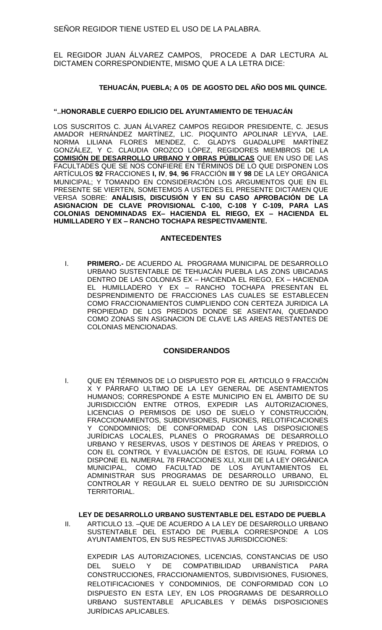SEÑOR REGIDOR TIENE USTED EL USO DE LA PALABRA.

EL REGIDOR JUAN ÁLVAREZ CAMPOS, PROCEDE A DAR LECTURA AL DICTAMEN CORRESPONDIENTE, MISMO QUE A LA LETRA DICE:

# **TEHUACÁN, PUEBLA; A 05 DE AGOSTO DEL AÑO DOS MIL QUINCE.**

#### **"..HONORABLE CUERPO EDILICIO DEL AYUNTAMIENTO DE TEHUACÁN**

LOS SUSCRITOS C. JUAN ÁLVAREZ CAMPOS REGIDOR PRESIDENTE, C. JESUS AMADOR HERNÁNDEZ MARTÍNEZ, LIC. PIOQUINTO APOLINAR LEYVA, LAE. NORMA LILIANA FLORES MENDEZ, C. GLADYS GUADALUPE MARTÍNEZ GONZÁLEZ, Y C. CLAUDIA OROZCO LÓPEZ, REGIDORES MIEMBROS DE LA **COMISIÓN DE DESARROLLO URBANO Y OBRAS PÚBLICAS** QUE EN USO DE LAS FACULTADES QUE SE NOS CONFIERE EN TÉRMINOS DE LO QUE DISPONEN LOS ARTÍCULOS **92** FRACCIONES **I, IV**, **94**, **96** FRACCIÓN **III** Y **98** DE LA LEY ORGÁNICA MUNICIPAL; Y TOMANDO EN CONSIDERACIÓN LOS ARGUMENTOS QUE EN EL PRESENTE SE VIERTEN, SOMETEMOS A USTEDES EL PRESENTE DICTAMEN QUE VERSA SOBRE: **ANÁLISIS, DISCUSIÓN Y EN SU CASO APROBACIÓN DE LA ASIGNACION DE CLAVE PROVISIONAL C-100, C-108 Y C-109, PARA LAS COLONIAS DENOMINADAS EX– HACIENDA EL RIEGO, EX – HACIENDA EL HUMILLADERO Y EX – RANCHO TOCHAPA RESPECTIVAMENTE.**

## **ANTECEDENTES**

I. **PRIMERO.-** DE ACUERDO AL PROGRAMA MUNICIPAL DE DESARROLLO URBANO SUSTENTABLE DE TEHUACÁN PUEBLA LAS ZONS UBICADAS DENTRO DE LAS COLONIAS EX – HACIENDA EL RIEGO, EX – HACIENDA EL HUMILLADERO Y EX – RANCHO TOCHAPA PRESENTAN EL DESPRENDIMIENTO DE FRACCIONES LAS CUALES SE ESTABLECEN COMO FRACCIONAMIENTOS CUMPLIENDO CON CERTEZA JURIDICA LA PROPIEDAD DE LOS PREDIOS DONDE SE ASIENTAN, QUEDANDO COMO ZONAS SIN ASIGNACION DE CLAVE LAS AREAS RESTANTES DE COLONIAS MENCIONADAS.

#### **CONSIDERANDOS**

I. QUE EN TÉRMINOS DE LO DISPUESTO POR EL ARTICULO 9 FRACCIÓN X Y PÁRRAFO ULTIMO DE LA LEY GENERAL DE ASENTAMIENTOS HUMANOS; CORRESPONDE A ESTE MUNICIPIO EN EL ÁMBITO DE SU JURISDICCIÓN ENTRE OTROS, EXPEDIR LAS AUTORIZACIONES, LICENCIAS O PERMISOS DE USO DE SUELO Y CONSTRUCCIÓN, FRACCIONAMIENTOS, SUBDIVISIONES, FUSIONES, RELOTIFICACIONES CONDOMINIOS; DE CONFORMIDAD CON LAS DISPOSICIONES JURÍDICAS LOCALES, PLANES O PROGRAMAS DE DESARROLLO URBANO Y RESERVAS, USOS Y DESTINOS DE ÁREAS Y PREDIOS, O CON EL CONTROL Y EVALUACIÓN DE ESTOS, DE IGUAL FORMA LO DISPONE EL NUMERAL 78 FRACCIONES XLI, XLIII DE LA LEY ORGÁNICA MUNICIPAL, COMO FACULTAD DE LOS AYUNTAMIENTOS EL ADMINISTRAR SUS PROGRAMAS DE DESARROLLO URBANO, EL CONTROLAR Y REGULAR EL SUELO DENTRO DE SU JURISDICCIÓN TERRITORIAL.

#### **LEY DE DESARROLLO URBANO SUSTENTABLE DEL ESTADO DE PUEBLA**

II. ARTICULO 13. –QUE DE ACUERDO A LA LEY DE DESARROLLO URBANO SUSTENTABLE DEL ESTADO DE PUEBLA CORRESPONDE A LOS AYUNTAMIENTOS, EN SUS RESPECTIVAS JURISDICCIONES:

EXPEDIR LAS AUTORIZACIONES, LICENCIAS, CONSTANCIAS DE USO DEL SUELO Y DE COMPATIBILIDAD URBANÍSTICA PARA CONSTRUCCIONES, FRACCIONAMIENTOS, SUBDIVISIONES, FUSIONES, RELOTIFICACIONES Y CONDOMINIOS, DE CONFORMIDAD CON LO DISPUESTO EN ESTA LEY, EN LOS PROGRAMAS DE DESARROLLO URBANO SUSTENTABLE APLICABLES Y DEMÁS DISPOSICIONES JURÍDICAS APLICABLES.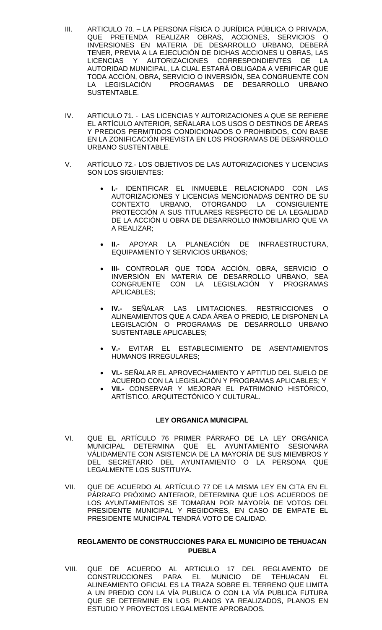- III. ARTICULO 70. LA PERSONA FÍSICA O JURÍDICA PÚBLICA O PRIVADA, QUE PRETENDA REALIZAR OBRAS, ACCIONES, SERVICIOS O INVERSIONES EN MATERIA DE DESARROLLO URBANO, DEBERÁ TENER, PREVIA A LA EJECUCIÓN DE DICHAS ACCIONES U OBRAS, LAS LICENCIAS Y AUTORIZACIONES CORRESPONDIENTES DE LA AUTORIDAD MUNICIPAL, LA CUAL ESTARÁ OBLIGADA A VERIFICAR QUE TODA ACCIÓN, OBRA, SERVICIO O INVERSIÓN, SEA CONGRUENTE CON LA LEGISLACIÓN PROGRAMAS DE DESARROLLO URBANO SUSTENTABLE.
- IV. ARTICULO 71. LAS LICENCIAS Y AUTORIZACIONES A QUE SE REFIERE EL ARTÍCULO ANTERIOR, SEÑALARA LOS USOS O DESTINOS DE ÁREAS Y PREDIOS PERMITIDOS CONDICIONADOS O PROHIBIDOS, CON BASE EN LA ZONIFICACIÓN PREVISTA EN LOS PROGRAMAS DE DESARROLLO URBANO SUSTENTABLE.
- V. ARTÍCULO 72.- LOS OBJETIVOS DE LAS AUTORIZACIONES Y LICENCIAS SON LOS SIGUIENTES:
	- **I.-** IDENTIFICAR EL INMUEBLE RELACIONADO CON LAS AUTORIZACIONES Y LICENCIAS MENCIONADAS DENTRO DE SU CONTEXTO URBANO, OTORGANDO LA CONSIGUIENTE PROTECCIÓN A SUS TITULARES RESPECTO DE LA LEGALIDAD DE LA ACCIÓN U OBRA DE DESARROLLO INMOBILIARIO QUE VA A REALIZAR;
	- **II.-** APOYAR LA PLANEACIÓN DE INFRAESTRUCTURA, EQUIPAMIENTO Y SERVICIOS URBANOS;
	- **III-** CONTROLAR QUE TODA ACCIÓN, OBRA, SERVICIO O INVERSIÓN EN MATERIA DE DESARROLLO URBANO, SEA CONGRUENTE CON LA LEGISLACIÓN Y PROGRAMAS APLICABLES;
	- **IV.-** SEÑALAR LAS LIMITACIONES, RESTRICCIONES O ALINEAMIENTOS QUE A CADA ÁREA O PREDIO, LE DISPONEN LA LEGISLACIÓN O PROGRAMAS DE DESARROLLO URBANO SUSTENTABLE APLICABLES;
	- **V.-** EVITAR EL ESTABLECIMIENTO DE ASENTAMIENTOS HUMANOS IRREGULARES;
	- **VI.-** SEÑALAR EL APROVECHAMIENTO Y APTITUD DEL SUELO DE ACUERDO CON LA LEGISLACIÓN Y PROGRAMAS APLICABLES; Y
	- **VII.-** CONSERVAR Y MEJORAR EL PATRIMONIO HISTÓRICO, ARTÍSTICO, ARQUITECTÓNICO Y CULTURAL.

## **LEY ORGANICA MUNICIPAL**

- VI. QUE EL ARTÍCULO 76 PRIMER PÁRRAFO DE LA LEY ORGÁNICA MUNICIPAL DETERMINA QUE EL AYUNTAMIENTO SESIONARA VÁLIDAMENTE CON ASISTENCIA DE LA MAYORÍA DE SUS MIEMBROS Y DEL SECRETARIO DEL AYUNTAMIENTO O LA PERSONA QUE LEGALMENTE LOS SUSTITUYA.
- VII. QUE DE ACUERDO AL ARTÍCULO 77 DE LA MISMA LEY EN CITA EN EL PÁRRAFO PRÓXIMO ANTERIOR, DETERMINA QUE LOS ACUERDOS DE LOS AYUNTAMIENTOS SE TOMARAN POR MAYORÍA DE VOTOS DEL PRESIDENTE MUNICIPAL Y REGIDORES, EN CASO DE EMPATE EL PRESIDENTE MUNICIPAL TENDRÁ VOTO DE CALIDAD.

## **REGLAMENTO DE CONSTRUCCIONES PARA EL MUNICIPIO DE TEHUACAN PUEBLA**

VIII. QUE DE ACUERDO AL ARTICULO 17 DEL REGLAMENTO DE<br>CONSTRUCCIONES PARA EL MUNICIO DE TEHUACAN EL CONSTRUCCIONES PARA EL MUNICIO DE TEHUACAN EL ALINEAMIENTO OFICIAL ES LA TRAZA SOBRE EL TERRENO QUE LIMITA A UN PREDIO CON LA VÍA PUBLICA O CON LA VÍA PUBLICA FUTURA QUE SE DETERMINE EN LOS PLANOS YA REALIZADOS, PLANOS EN ESTUDIO Y PROYECTOS LEGALMENTE APROBADOS.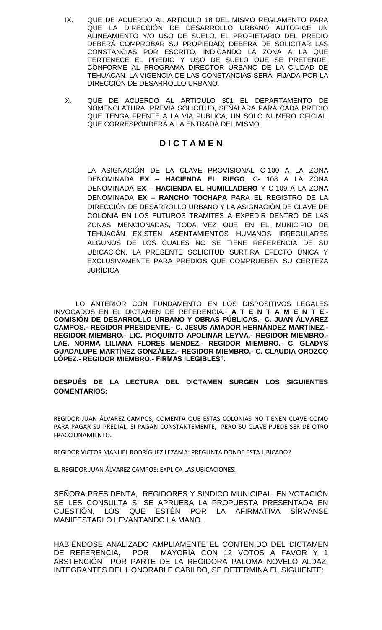- IX. QUE DE ACUERDO AL ARTICULO 18 DEL MISMO REGLAMENTO PARA QUE LA DIRECCIÓN DE DESARROLLO URBANO AUTORICE UN ALINEAMIENTO Y/O USO DE SUELO, EL PROPIETARIO DEL PREDIO DEBERÁ COMPROBAR SU PROPIEDAD; DEBERÁ DE SOLICITAR LAS CONSTANCIAS POR ESCRITO, INDICANDO LA ZONA A LA QUE PERTENECE EL PREDIO Y USO DE SUELO QUE SE PRETENDE, CONFORME AL PROGRAMA DIRECTOR URBANO DE LA CIUDAD DE TEHUACAN. LA VIGENCIA DE LAS CONSTANCIAS SERÁ FIJADA POR LA DIRECCIÓN DE DESARROLLO URBANO.
- X. QUE DE ACUERDO AL ARTICULO 301 EL DEPARTAMENTO DE NOMENCLATURA, PREVIA SOLICITUD, SEÑALARA PARA CADA PREDIO QUE TENGA FRENTE A LA VÍA PUBLICA, UN SOLO NUMERO OFICIAL, QUE CORRESPONDERÁ A LA ENTRADA DEL MISMO.

# **D I C T A M E N**

LA ASIGNACIÓN DE LA CLAVE PROVISIONAL C-100 A LA ZONA DENOMINADA **EX – HACIENDA EL RIEGO**, C- 108 A LA ZONA DENOMINADA **EX – HACIENDA EL HUMILLADERO** Y C-109 A LA ZONA DENOMINADA **EX – RANCHO TOCHAPA** PARA EL REGISTRO DE LA DIRECCIÓN DE DESARROLLO URBANO Y LA ASIGNACIÓN DE CLAVE DE COLONIA EN LOS FUTUROS TRAMITES A EXPEDIR DENTRO DE LAS ZONAS MENCIONADAS, TODA VEZ QUE EN EL MUNICIPIO DE TEHUACÁN EXISTEN ASENTAMIENTOS HUMANOS IRREGULARES ALGUNOS DE LOS CUALES NO SE TIENE REFERENCIA DE SU UBICACIÓN, LA PRESENTE SOLICITUD SURTIRÁ EFECTO ÚNICA Y EXCLUSIVAMENTE PARA PREDIOS QUE COMPRUEBEN SU CERTEZA JURÍDICA.

LO ANTERIOR CON FUNDAMENTO EN LOS DISPOSITIVOS LEGALES INVOCADOS EN EL DICTAMEN DE REFERENCIA.- **A T E N T A M E N T E.- COMISIÓN DE DESARROLLO URBANO Y OBRAS PÚBLICAS.- C. JUAN ÁLVAREZ CAMPOS.- REGIDOR PRESIDENTE.- C. JESUS AMADOR HERNÁNDEZ MARTÍNEZ.- REGIDOR MIEMBRO.- LIC. PIOQUINTO APOLINAR LEYVA.- REGIDOR MIEMBRO.- LAE. NORMA LILIANA FLORES MENDEZ.- REGIDOR MIEMBRO.- C. GLADYS GUADALUPE MARTÍNEZ GONZÁLEZ.- REGIDOR MIEMBRO.- C. CLAUDIA OROZCO LÓPEZ.- REGIDOR MIEMBRO.- FIRMAS ILEGIBLES".**

**DESPUÉS DE LA LECTURA DEL DICTAMEN SURGEN LOS SIGUIENTES COMENTARIOS:**

REGIDOR JUAN ÁLVAREZ CAMPOS, COMENTA QUE ESTAS COLONIAS NO TIENEN CLAVE COMO PARA PAGAR SU PREDIAL, SI PAGAN CONSTANTEMENTE, PERO SU CLAVE PUEDE SER DE OTRO FRACCIONAMIENTO.

REGIDOR VICTOR MANUEL RODRÍGUEZ LEZAMA: PREGUNTA DONDE ESTA UBICADO?

EL REGIDOR JUAN ÁLVAREZ CAMPOS: EXPLICA LAS UBICACIONES.

SEÑORA PRESIDENTA, REGIDORES Y SINDICO MUNICIPAL, EN VOTACIÓN SE LES CONSULTA SI SE APRUEBA LA PROPUESTA PRESENTADA EN CUESTIÓN, LOS QUE ESTÉN POR LA AFIRMATIVA SÍRVANSE MANIFESTARLO LEVANTANDO LA MANO.

HABIÉNDOSE ANALIZADO AMPLIAMENTE EL CONTENIDO DEL DICTAMEN DE REFERENCIA, POR MAYORÍA CON 12 VOTOS A FAVOR Y 1 ABSTENCIÓN POR PARTE DE LA REGIDORA PALOMA NOVELO ALDAZ, INTEGRANTES DEL HONORABLE CABILDO, SE DETERMINA EL SIGUIENTE: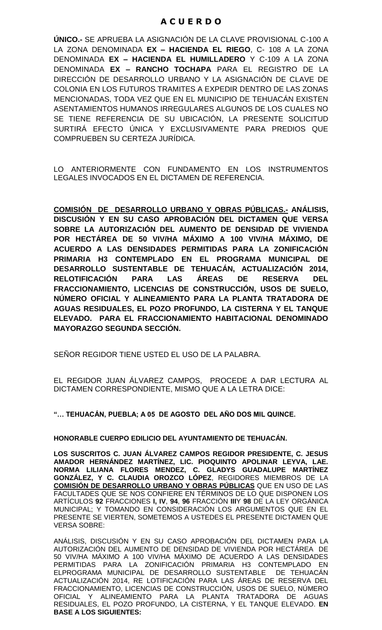# **A C U E R D O**

**ÚNICO.-** SE APRUEBA LA ASIGNACIÓN DE LA CLAVE PROVISIONAL C-100 A LA ZONA DENOMINADA **EX – HACIENDA EL RIEGO**, C- 108 A LA ZONA DENOMINADA **EX – HACIENDA EL HUMILLADERO** Y C-109 A LA ZONA DENOMINADA **EX – RANCHO TOCHAPA** PARA EL REGISTRO DE LA DIRECCIÓN DE DESARROLLO URBANO Y LA ASIGNACIÓN DE CLAVE DE COLONIA EN LOS FUTUROS TRAMITES A EXPEDIR DENTRO DE LAS ZONAS MENCIONADAS, TODA VEZ QUE EN EL MUNICIPIO DE TEHUACÁN EXISTEN ASENTAMIENTOS HUMANOS IRREGULARES ALGUNOS DE LOS CUALES NO SE TIENE REFERENCIA DE SU UBICACIÓN, LA PRESENTE SOLICITUD SURTIRÁ EFECTO ÚNICA Y EXCLUSIVAMENTE PARA PREDIOS QUE COMPRUEBEN SU CERTEZA JURÍDICA.

LO ANTERIORMENTE CON FUNDAMENTO EN LOS INSTRUMENTOS LEGALES INVOCADOS EN EL DICTAMEN DE REFERENCIA.

**COMISIÓN DE DESARROLLO URBANO Y OBRAS PÚBLICAS.- ANÁLISIS, DISCUSIÓN Y EN SU CASO APROBACIÓN DEL DICTAMEN QUE VERSA SOBRE LA AUTORIZACIÓN DEL AUMENTO DE DENSIDAD DE VIVIENDA POR HECTÁREA DE 50 VIV/HA MÁXIMO A 100 VIV/HA MÁXIMO, DE ACUERDO A LAS DENSIDADES PERMITIDAS PARA LA ZONIFICACIÓN PRIMARIA H3 CONTEMPLADO EN EL PROGRAMA MUNICIPAL DE DESARROLLO SUSTENTABLE DE TEHUACÁN, ACTUALIZACIÓN 2014, RELOTIFICACIÓN PARA LAS ÁREAS DE RESERVA DEL FRACCIONAMIENTO, LICENCIAS DE CONSTRUCCIÓN, USOS DE SUELO, NÚMERO OFICIAL Y ALINEAMIENTO PARA LA PLANTA TRATADORA DE AGUAS RESIDUALES, EL POZO PROFUNDO, LA CISTERNA Y EL TANQUE ELEVADO. PARA EL FRACCIONAMIENTO HABITACIONAL DENOMINADO MAYORAZGO SEGUNDA SECCIÓN.**

SEÑOR REGIDOR TIENE USTED EL USO DE LA PALABRA.

EL REGIDOR JUAN ÁLVAREZ CAMPOS, PROCEDE A DAR LECTURA AL DICTAMEN CORRESPONDIENTE, MISMO QUE A LA LETRA DICE:

**"… TEHUACÁN, PUEBLA; A 05 DE AGOSTO DEL AÑO DOS MIL QUINCE.**

**HONORABLE CUERPO EDILICIO DEL AYUNTAMIENTO DE TEHUACÁN.**

**LOS SUSCRITOS C. JUAN ÁLVAREZ CAMPOS REGIDOR PRESIDENTE, C. JESUS AMADOR HERNÁNDEZ MARTÍNEZ, LIC. PIOQUINTO APOLINAR LEYVA, LAE. NORMA LILIANA FLORES MENDEZ, C. GLADYS GUADALUPE MARTÍNEZ GONZÁLEZ, Y C. CLAUDIA OROZCO LÓPEZ**, REGIDORES MIEMBROS DE LA **COMISIÓN DE DESARROLLO URBANO Y OBRAS PÚBLICAS** QUE EN USO DE LAS FACULTADES QUE SE NOS CONFIERE EN TÉRMINOS DE LO QUE DISPONEN LOS ARTÍCULOS **92** FRACCIONES **I, IV**, **94**, **96** FRACCIÓN **III**Y **98** DE LA LEY ORGÁNICA MUNICIPAL; Y TOMANDO EN CONSIDERACIÓN LOS ARGUMENTOS QUE EN EL PRESENTE SE VIERTEN, SOMETEMOS A USTEDES EL PRESENTE DICTAMEN QUE VERSA SOBRE:

ANÁLISIS, DISCUSIÓN Y EN SU CASO APROBACIÓN DEL DICTAMEN PARA LA AUTORIZACIÓN DEL AUMENTO DE DENSIDAD DE VIVIENDA POR HECTÁREA DE 50 VIV/HA MÁXIMO A 100 VIV/HA MÁXIMO DE ACUERDO A LAS DENSIDADES PERMITIDAS PARA LA ZONIFICACIÓN PRIMARIA H3 CONTEMPLADO EN ELPROGRAMA MUNICIPAL DE DESARROLLO SUSTENTABLE DE TEHUACÁN ACTUALIZACIÓN 2014, RE LOTIFICACIÓN PARA LAS ÁREAS DE RESERVA DEL FRACCIONAMIENTO, LICENCIAS DE CONSTRUCCIÓN, USOS DE SUELO, NÚMERO OFICIAL Y ALINEAMIENTO PARA LA PLANTA TRATADORA DE AGUAS RESIDUALES, EL POZO PROFUNDO, LA CISTERNA, Y EL TANQUE ELEVADO. **EN BASE A LOS SIGUIENTES:**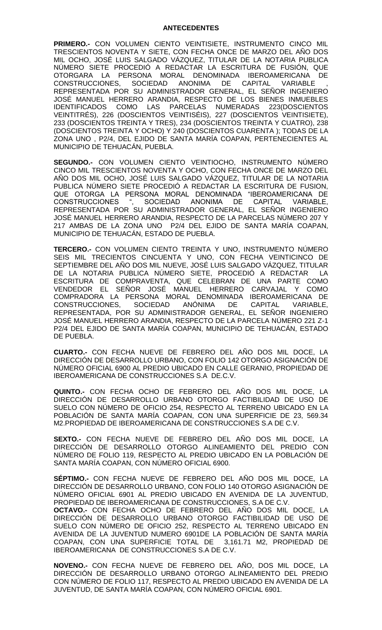#### **ANTECEDENTES**

**PRIMERO.-** CON VOLUMEN CIENTO VEINTISIETE, INSTRUMENTO CINCO MIL TRESCIENTOS NOVENTA Y SIETE, CON FECHA ONCE DE MARZO DEL AÑO DOS MIL OCHO, JOSÉ LUIS SALGADO VÁZQUEZ, TITULAR DE LA NOTARIA PUBLICA NÚMERO SIETE PROCEDIÓ A REDACTAR LA ESCRITURA DE FUSIÓN, QUE OTORGARA LA PERSONA MORAL DENOMINADA IBEROAMERICANA DE CONSTRUCCIONES, SOCIEDAD ANONIMA DE CAPITAL VARIABLE , REPRESENTADA POR SU ADMINISTRADOR GENERAL, EL SEÑOR INGENIERO JOSÉ MANUEL HERRERO ARANDIA, RESPECTO DE LOS BIENES INMUEBLES IDENTIFICADOS COMO LAS PARCELAS NUMERADAS 223(DOSCIENTOS VEINTITRÉS), 226 (DOSCIENTOS VEINTISÉIS), 227 (DOSCIENTOS VEINTISIETE), 233 (DOSCIENTOS TREINTA Y TRES), 234 (DOSCIENTOS TREINTA Y CUATRO), 238 (DOSCIENTOS TREINTA Y OCHO) Y 240 (DOSCIENTOS CUARENTA ); TODAS DE LA ZONA UNO , P2/4, DEL EJIDO DE SANTA MARÍA COAPAN, PERTENECIENTES AL MUNICIPIO DE TEHUACÁN, PUEBLA.

**SEGUNDO.-** CON VOLUMEN CIENTO VEINTIOCHO, INSTRUMENTO NÚMERO CINCO MIL TRESCIENTOS NOVENTA Y OCHO, CON FECHA ONCE DE MARZO DEL AÑO DOS MIL OCHO, JOSÉ LUIS SALGADO VÁZQUEZ, TITULAR DE LA NOTARIA PUBLICA NÚMERO SIETE PROCEDIÓ A REDACTAR LA ESCRITURA DE FUSION, QUE OTORGA LA PERSONA MORAL DENOMINADA "IBEROAMERICANA DE CONSTRUCCIONES ", SOCIEDAD ANONIMA DE CAPITAL VARIABLE, REPRESENTADA POR SU ADMINISTRADOR GENERAL, EL SEÑOR INGENIERO JOSÉ MANUEL HERRERO ARANDIA, RESPECTO DE LA PARCELAS NÚMERO 207 Y 217 AMBAS DE LA ZONA UNO P2/4 DEL EJIDO DE SANTA MARÍA COAPAN, MUNICIPIO DE TEHUACÁN, ESTADO DE PUEBLA.

**TERCERO.-** CON VOLUMEN CIENTO TREINTA Y UNO, INSTRUMENTO NÚMERO SEIS MIL TRECIENTOS CINCUENTA Y UNO, CON FECHA VEINTICINCO DE SEPTIEMBRE DEL AÑO DOS MIL NUEVE, JOSÉ LUIS SALGADO VÁZQUEZ, TITULAR DE LA NOTARIA PUBLICA NÚMERO SIETE, PROCEDIÓ A REDACTAR LA ESCRITURA DE COMPRAVENTA, QUE CELEBRAN DE UNA PARTE COMO VENDEDOR EL SEÑOR JOSÉ MANUEL HERRERO CARVAJAL Y COMO COMPRADORA LA PERSONA MORAL DENOMINADA IBEROAMERICANA DE CONSTRUCCIONES, SOCIEDAD ANÓNIMA DE CAPITAL VARIABLE, REPRESENTADA, POR SU ADMINISTRADOR GENERAL, EL SEÑOR INGENIERO JOSÉ MANUEL HERRERO ARANDIA, RESPECTO DE LA PARCELA NÚMERO 221 Z-1 P2/4 DEL EJIDO DE SANTA MARÍA COAPAN, MUNICIPIO DE TEHUACÁN, ESTADO DE PUEBLA.

**CUARTO.-** CON FECHA NUEVE DE FEBRERO DEL AÑO DOS MIL DOCE, LA DIRECCIÓN DE DESARROLLO URBANO, CON FOLIO 142 OTORGO ASIGNACIÓN DE NÚMERO OFICIAL 6900 AL PREDIO UBICADO EN CALLE GERANIO, PROPIEDAD DE IBEROAMERICANA DE CONSTRUCCIONES S.A DE.C.V.

**QUINTO.-** CON FECHA OCHO DE FEBRERO DEL AÑO DOS MIL DOCE, LA DIRECCIÓN DE DESARROLLO URBANO OTORGO FACTIBILIDAD DE USO DE SUELO CON NÚMERO DE OFICIO 254, RESPECTO AL TERRENO UBICADO EN LA POBLACIÓN DE SANTA MARÍA COAPAN, CON UNA SUPERFICIE DE 23, 569.34 M2.PROPIEDAD DE IBEROAMERICANA DE CONSTRUCCIONES S.A DE C.V.

**SEXTO.-** CON FECHA NUEVE DE FEBRERO DEL AÑO DOS MIL DOCE, LA DIRECCIÓN DE DESARROLLO OTORGO ALINEAMIENTO DEL PREDIO CON NÚMERO DE FOLIO 119, RESPECTO AL PREDIO UBICADO EN LA POBLACIÓN DE SANTA MARÍA COAPAN, CON NÚMERO OFICIAL 6900.

**SÉPTIMO.-** CON FECHA NUEVE DE FEBRERO DEL AÑO DOS MIL DOCE, LA DIRECCIÓN DE DESARROLLO URBANO, CON FOLIO 140 OTORGO ASIGNACIÓN DE NÚMERO OFICIAL 6901 AL PREDIO UBICADO EN AVENIDA DE LA JUVENTUD, PROPIEDAD DE IBEROAMERICANA DE CONSTRUCCIONES, S.A DE C.V.

**OCTAVO.-** CON FECHA OCHO DE FEBRERO DEL AÑO DOS MIL DOCE, LA DIRECCIÓN DE DESARROLLO URBANO OTORGO FACTIBILIDAD DE USO DE SUELO CON NÚMERO DE OFICIO 252, RESPECTO AL TERRENO UBICADO EN AVENIDA DE LA JUVENTUD NUMERO 6901DE LA POBLACIÓN DE SANTA MARÍA COAPAN, CON UNA SUPERFICIE TOTAL DE 3,161.71 M2, PROPIEDAD DE IBEROAMERICANA DE CONSTRUCCIONES S.A DE C.V.

**NOVENO.-** CON FECHA NUEVE DE FEBRERO DEL AÑO, DOS MIL DOCE, LA DIRECCIÓN DE DESARROLLO URBANO OTORGO ALINEAMIENTO DEL PREDIO CON NÚMERO DE FOLIO 117, RESPECTO AL PREDIO UBICADO EN AVENIDA DE LA JUVENTUD, DE SANTA MARÍA COAPAN, CON NÚMERO OFICIAL 6901.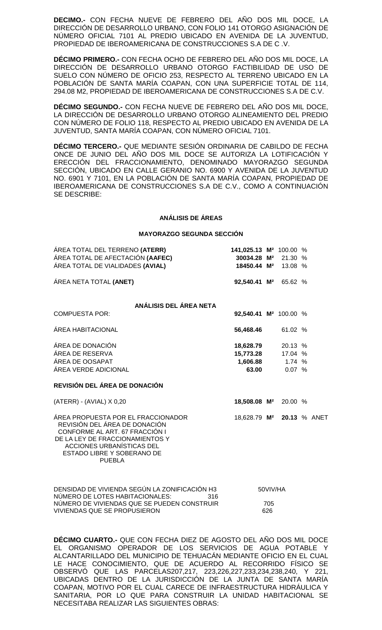**DECIMO.-** CON FECHA NUEVE DE FEBRERO DEL AÑO DOS MIL DOCE, LA DIRECCIÓN DE DESARROLLO URBANO, CON FOLIO 141 OTORGO ASIGNACIÓN DE NÚMERO OFICIAL 7101 AL PREDIO UBICADO EN AVENIDA DE LA JUVENTUD, PROPIEDAD DE IBEROAMERICANA DE CONSTRUCCIONES S.A DE C .V.

**DÉCIMO PRIMERO.-** CON FECHA OCHO DE FEBRERO DEL AÑO DOS MIL DOCE, LA DIRECCIÓN DE DESARROLLO URBANO OTORGO FACTIBILIDAD DE USO DE SUELO CON NÚMERO DE OFICIO 253, RESPECTO AL TERRENO UBICADO EN LA POBLACIÓN DE SANTA MARÍA COAPAN, CON UNA SUPERFICIE TOTAL DE 114, 294.08 M2, PROPIEDAD DE IBEROAMERICANA DE CONSTRUCCIONES S.A DE C.V.

**DÉCIMO SEGUNDO.-** CON FECHA NUEVE DE FEBRERO DEL AÑO DOS MIL DOCE, LA DIRECCIÓN DE DESARROLLO URBANO OTORGO ALINEAMIENTO DEL PREDIO CON NÚMERO DE FOLIO 118, RESPECTO AL PREDIO UBICADO EN AVENIDA DE LA JUVENTUD, SANTA MARÍA COAPAN, CON NÚMERO OFICIAL 7101.

**DÉCIMO TERCERO.-** QUE MEDIANTE SESIÓN ORDINARIA DE CABILDO DE FECHA ONCE DE JUNIO DEL AÑO DOS MIL DOCE SE AUTORIZA LA LOTIFICACIÓN Y ERECCIÓN DEL FRACCIONAMIENTO, DENOMINADO MAYORAZGO SEGUNDA SECCIÓN, UBICADO EN CALLE GERANIO NO. 6900 Y AVENIDA DE LA JUVENTUD NO. 6901 Y 7101, EN LA POBLACIÓN DE SANTA MARÍA COAPAN, PROPIEDAD DE IBEROAMERICANA DE CONSTRUCCIONES S.A DE C.V., COMO A CONTINUACIÓN SE DESCRIBE:

#### **ANÁLISIS DE ÁREAS**

#### **MAYORAZGO SEGUNDA SECCIÓN**

| ÁREA TOTAL DEL TERRENO <b>(ATERR)</b>                                                                                                                                                                                | 141,025.13 M <sup>2</sup> 100.00 %    |          |         |  |
|----------------------------------------------------------------------------------------------------------------------------------------------------------------------------------------------------------------------|---------------------------------------|----------|---------|--|
| ÁREA TOTAL DE AFECTACIÓN <b>(AAFEC)</b>                                                                                                                                                                              | 30034.28 M <sup>2</sup> 21.30 %       |          |         |  |
| ÁREA TOTAL DE VIALIDADES (AVIAL)                                                                                                                                                                                     | 18450.44 M <sup>2</sup> 13.08 %       |          |         |  |
| ÁREA NETA TOTAL (ANET)                                                                                                                                                                                               | 92,540.41 M <sup>2</sup> 65.62 %      |          |         |  |
| ANÁLISIS DEL ÁREA NETA                                                                                                                                                                                               |                                       |          |         |  |
| <b>COMPUESTA POR:</b>                                                                                                                                                                                                | 92,540.41 M <sup>2</sup> 100.00 %     |          |         |  |
| ÁREA HABITACIONAL                                                                                                                                                                                                    | 56,468.46                             |          | 61.02 % |  |
| ÁREA DE DONACIÓN                                                                                                                                                                                                     | 18,628.79                             |          | 20.13 % |  |
| ÁREA DE RESERVA                                                                                                                                                                                                      | 15,773.28                             |          | 17.04 % |  |
| ÁREA DE OOSAPAT                                                                                                                                                                                                      | 1,606.88                              |          | 1.74%   |  |
| ÁREA VERDE ADICIONAL                                                                                                                                                                                                 | 63.00                                 |          | 0.07 %  |  |
| REVISIÓN DEL ÁREA DE DONACIÓN                                                                                                                                                                                        |                                       |          |         |  |
| (ATERR) - (AVIAL) X 0,20                                                                                                                                                                                             | 18,508.08 M <sup>2</sup> 20.00 %      |          |         |  |
| ÁREA PROPUESTA POR EL FRACCIONADOR<br>REVISIÓN DEL ÁREA DE DONACIÓN<br>CONFORME AL ART. 67 FRACCIÓN I<br>DE LA LEY DE FRACCIONAMIENTOS Y<br>ACCIONES URBANÍSTICAS DEL<br>ESTADO LIBRE Y SOBERANO DE<br><b>PUEBLA</b> | 18,628.79 M <sup>2</sup> 20.13 % ANET |          |         |  |
| DENSIDAD DE VIVIENDA SEGÚN LA ZONIFICACIÓN H3<br>NÚMERO DE LOTES HABITACIONALES:<br>316                                                                                                                              |                                       | 50VIV/HA |         |  |
| NÚMERO DE VIVIENDAS QUE SE PUEDEN CONSTRUIR                                                                                                                                                                          |                                       | 705      |         |  |

**DÉCIMO CUARTO.-** QUE CON FECHA DIEZ DE AGOSTO DEL AÑO DOS MIL DOCE EL ORGANISMO OPERADOR DE LOS SERVICIOS DE AGUA POTABLE Y ALCANTARILLADO DEL MUNICIPIO DE TEHUACÁN MEDIANTE OFICIO EN EL CUAL LE HACE CONOCIMIENTO, QUE DE ACUERDO AL RECORRIDO FÍSICO SE OBSERVÓ QUE LAS PARCELAS207,217, 223,226,227,233,234,238,240, Y 221, UBICADAS DENTRO DE LA JURISDICCIÓN DE LA JUNTA DE SANTA MARÍA COAPAN, MOTIVO POR EL CUAL CARECE DE INFRAESTRUCTURA HIDRÁULICA Y SANITARIA, POR LO QUE PARA CONSTRUIR LA UNIDAD HABITACIONAL SE NECESITABA REALIZAR LAS SIGUIENTES OBRAS:

VIVIENDAS QUE SE PROPUSIERON **1999 EN 1999 EN 1999 EN 1999 EN 1999 EN 1999**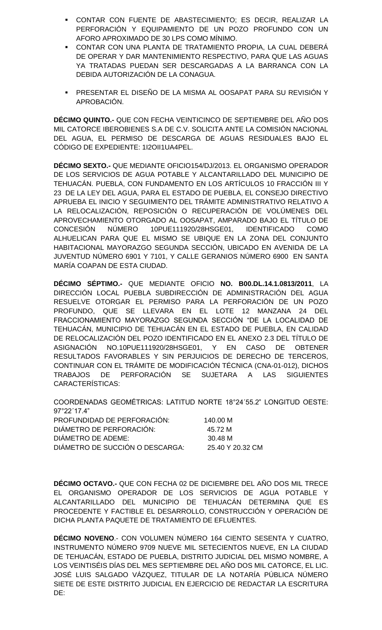- CONTAR CON FUENTE DE ABASTECIMIENTO; ES DECIR, REALIZAR LA PERFORACIÓN Y EQUIPAMIENTO DE UN POZO PROFUNDO CON UN AFORO APROXIMADO DE 30 LPS COMO MÍNIMO.
- CONTAR CON UNA PLANTA DE TRATAMIENTO PROPIA, LA CUAL DEBERÁ DE OPERAR Y DAR MANTENIMIENTO RESPECTIVO, PARA QUE LAS AGUAS YA TRATADAS PUEDAN SER DESCARGADAS A LA BARRANCA CON LA DEBIDA AUTORIZACIÓN DE LA CONAGUA.
- PRESENTAR EL DISEÑO DE LA MISMA AL OOSAPAT PARA SU REVISIÓN Y APROBACIÓN.

**DÉCIMO QUINTO.-** QUE CON FECHA VEINTICINCO DE SEPTIEMBRE DEL AÑO DOS MIL CATORCE IBEROBIENES S.A DE C.V. SOLICITA ANTE LA COMISIÓN NACIONAL DEL AGUA, EL PERMISO DE DESCARGA DE AGUAS RESIDUALES BAJO EL CÓDIGO DE EXPEDIENTE: 1I2OII1UA4PEL.

**DÉCIMO SEXTO.-** QUE MEDIANTE OFICIO154/DJ/2013. EL ORGANISMO OPERADOR DE LOS SERVICIOS DE AGUA POTABLE Y ALCANTARILLADO DEL MUNICIPIO DE TEHUACÁN. PUEBLA, CON FUNDAMENTO EN LOS ARTÍCULOS 10 FRACCIÓN III Y 23 DE LA LEY DEL AGUA, PARA EL ESTADO DE PUEBLA, EL CONSEJO DIRECTIVO APRUEBA EL INICIO Y SEGUIMIENTO DEL TRÁMITE ADMINISTRATIVO RELATIVO A LA RELOCALIZACIÓN, REPOSICIÓN O RECUPERACIÓN DE VOLÚMENES DEL APROVECHAMIENTO OTORGADO AL OOSAPAT, AMPARADO BAJO EL TÍTULO DE CONCESIÓN NÚMERO 10PUE111920/28HSGE01, IDENTIFICADO COMO ALHUELICAN PARA QUE EL MISMO SE UBIQUE EN LA ZONA DEL CONJUNTO HABITACIONAL MAYORAZGO SEGUNDA SECCIÓN, UBICADO EN AVENIDA DE LA JUVENTUD NÚMERO 6901 Y 7101, Y CALLE GERANIOS NÚMERO 6900 EN SANTA MARÍA COAPAN DE ESTA CIUDAD.

**DÉCIMO SÉPTIMO.-** QUE MEDIANTE OFICIO **NO. B00.DL.14.1.0813/2011**, LA DIRECCIÓN LOCAL PUEBLA SUBDIRECCIÓN DE ADMINISTRACIÓN DEL AGUA RESUELVE OTORGAR EL PERMISO PARA LA PERFORACIÓN DE UN POZO PROFUNDO, QUE SE LLEVARA EN EL LOTE 12 MANZANA 24 DEL FRACCIONAMIENTO MAYORAZGO SEGUNDA SECCIÓN "DE LA LOCALIDAD DE TEHUACÁN, MUNICIPIO DE TEHUACÁN EN EL ESTADO DE PUEBLA, EN CALIDAD DE RELOCALIZACIÓN DEL POZO IDENTIFICADO EN EL ANEXO 2.3 DEL TÍTULO DE ASIGNACIÓN NO.10PUE111920/28HSGE01, Y EN CASO DE OBTENER RESULTADOS FAVORABLES Y SIN PERJUICIOS DE DERECHO DE TERCEROS, CONTINUAR CON EL TRÁMITE DE MODIFICACIÓN TÉCNICA (CNA-01-012), DICHOS TRABAJOS DE PERFORACIÓN SE SUJETARA A LAS SIGUIENTES CARACTERÍSTICAS:

COORDENADAS GEOMÉTRICAS: LATITUD NORTE 18°24´55.2" LONGITUD OESTE: 97°22´17.4" 140.00 M

| PROFUNDIDAD DE PERFORACION:     | 140.00 M         |
|---------------------------------|------------------|
| DIÁMETRO DE PERFORACIÓN:        | 45.72 M          |
| DIÁMETRO DE ADEME:              | 30.48 M          |
| DIÁMETRO DE SUCCIÓN O DESCARGA: | 25.40 Y 20.32 CM |
|                                 |                  |

**DÉCIMO OCTAVO.-** QUE CON FECHA 02 DE DICIEMBRE DEL AÑO DOS MIL TRECE EL ORGANISMO OPERADOR DE LOS SERVICIOS DE AGUA POTABLE Y ALCANTARILLADO DEL MUNICIPIO DE TEHUACÁN DETERMINA QUE ES PROCEDENTE Y FACTIBLE EL DESARROLLO, CONSTRUCCIÓN Y OPERACIÓN DE DICHA PLANTA PAQUETE DE TRATAMIENTO DE EFLUENTES.

**DÉCIMO NOVENO**.- CON VOLUMEN NÚMERO 164 CIENTO SESENTA Y CUATRO, INSTRUMENTO NÚMERO 9709 NUEVE MIL SETECIENTOS NUEVE, EN LA CIUDAD DE TEHUACÁN, ESTADO DE PUEBLA, DISTRITO JUDICIAL DEL MISMO NOMBRE, A LOS VEINTISÉIS DÍAS DEL MES SEPTIEMBRE DEL AÑO DOS MIL CATORCE, EL LIC. JOSÉ LUIS SALGADO VÁZQUEZ, TITULAR DE LA NOTARÍA PÚBLICA NÚMERO SIETE DE ESTE DISTRITO JUDICIAL EN EJERCICIO DE REDACTAR LA ESCRITURA DE: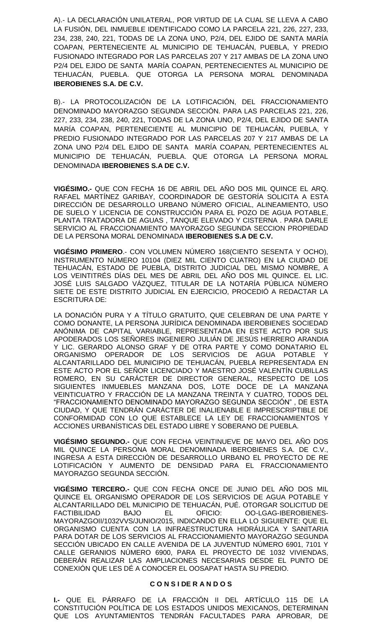A).- LA DECLARACIÓN UNILATERAL, POR VIRTUD DE LA CUAL SE LLEVA A CABO LA FUSIÓN, DEL INMUEBLE IDENTIFICADO COMO LA PARCELA 221, 226, 227, 233, 234, 238, 240, 221, TODAS DE LA ZONA UNO, P2/4, DEL EJIDO DE SANTA MARÍA COAPAN, PERTENECIENTE AL MUNICIPIO DE TEHUACÁN, PUEBLA, Y PREDIO FUSIONADO INTEGRADO POR LAS PARCELAS 207 Y 217 AMBAS DE LA ZONA UNO P2/4 DEL EJIDO DE SANTA MARÍA COAPAN, PERTENECIENTES AL MUNICIPIO DE TEHUACÁN, PUEBLA. QUE OTORGA LA PERSONA MORAL DENOMINADA **IBEROBIENES S.A. DE C.V.**

B).- LA PROTOCOLIZACIÓN DE LA LOTIFICACIÓN, DEL FRACCIONAMIENTO DENOMINADO MAYORAZGO SEGUNDA SECCIÓN. PARA LAS PARCELAS 221, 226, 227, 233, 234, 238, 240, 221, TODAS DE LA ZONA UNO, P2/4, DEL EJIDO DE SANTA MARÍA COAPAN, PERTENECIENTE AL MUNICIPIO DE TEHUACÁN, PUEBLA, Y PREDIO FUSIONADO INTEGRADO POR LAS PARCELAS 207 Y 217 AMBAS DE LA ZONA UNO P2/4 DEL EJIDO DE SANTA MARÍA COAPAN, PERTENECIENTES AL MUNICIPIO DE TEHUACÁN, PUEBLA. QUE OTORGA LA PERSONA MORAL DENOMINADA **IBEROBIENES S.A DE C.V.**

**VIGÉSIMO.-** QUE CON FECHA 16 DE ABRIL DEL AÑO DOS MIL QUINCE EL ARQ. RAFAEL MARTÍNEZ GARIBAY, COORDINADOR DE GESTORÍA SOLICITA A ESTA DIRECCIÓN DE DESARROLLO URBANO NÚMERO OFICIAL, ALINEAMIENTO, USO DE SUELO Y LICENCIA DE CONSTRUCCIÓN PARA EL POZO DE AGUA POTABLE, PLANTA TRATADORA DE AGUAS , TANQUE ELEVADO Y CISTERNA . PARA DARLE SERVICIO AL FRACCIONAMIENTO MAYORAZGO SEGUNDA SECCION PROPIEDAD DE LA PERSONA MORAL DENOMINADA **IBEROBIENES S.A DE C.V.**

**VIGÉSIMO PRIMERO**.- CON VOLUMEN NÚMERO 168(CIENTO SESENTA Y OCHO), INSTRUMENTO NÚMERO 10104 (DIEZ MIL CIENTO CUATRO) EN LA CIUDAD DE TEHUACÁN, ESTADO DE PUEBLA, DISTRITO JUDICIAL DEL MISMO NOMBRE, A LOS VEINTITRÉS DÍAS DEL MES DE ABRIL DEL AÑO DOS MIL QUINCE. EL LIC. JOSÉ LUIS SALGADO VÁZQUEZ, TITULAR DE LA NOTARÍA PÚBLICA NÚMERO SIETE DE ESTE DISTRITO JUDICIAL EN EJERCICIO, PROCEDIÓ A REDACTAR LA ESCRITURA DE:

LA DONACIÓN PURA Y A TÍTULO GRATUITO, QUE CELEBRAN DE UNA PARTE Y COMO DONANTE, LA PERSONA JURÍDICA DENOMINADA IBEROBIENES SOCIEDAD ANÓNIMA DE CAPITAL VARIABLE, REPRESENTADA EN ESTE ACTO POR SUS APODERADOS LOS SEÑORES INGENIERO JULIÁN DE JESÚS HERRERO ARANDIA Y LIC. GERARDO ALONSO GRAF Y DE OTRA PARTE Y COMO DONATARIO EL ORGANISMO OPERADOR DE LOS SERVICIOS DE AGUA POTABLE Y ALCANTARILLADO DEL MUNICIPIO DE TEHUACÁN, PUEBLA REPRESENTADA EN ESTE ACTO POR EL SEÑOR LICENCIADO Y MAESTRO JOSÉ VALENTÍN CUBILLAS ROMERO, EN SU CARÁCTER DE DIRECTOR GENERAL, RESPECTO DE LOS SIGUIENTES INMUEBLES MANZANA DOS, LOTE DOCE DE LA MANZANA VEINTICUATRO Y FRACCIÓN DE LA MANZANA TREINTA Y CUATRO, TODOS DEL "FRACCIONAMIENTO DENOMINADO MAYORAZGO SEGUNDA SECCIÓN" , DE ESTA CIUDAD, Y QUE TENDRÁN CARÁCTER DE INALIENABLE E IMPRESCRIPTIBLE DE CONFORMIDAD CON LO QUE ESTABLECE LA LEY DE FRACCIONAMIENTOS Y ACCIONES URBANÍSTICAS DEL ESTADO LIBRE Y SOBERANO DE PUEBLA.

**VIGÉSIMO SEGUNDO.-** QUE CON FECHA VEINTINUEVE DE MAYO DEL AÑO DOS MIL QUINCE LA PERSONA MORAL DENOMINADA IBEROBIENES S.A. DE C.V., INGRESA A ESTA DIRECCIÓN DE DESARROLLO URBANO EL PROYECTO DE RE LOTIFICACIÓN Y AUMENTO DE DENSIDAD PARA EL FRACCIONAMIENTO MAYORAZGO SEGUNDA SECCIÓN.

**VIGÉSIMO TERCERO.-** QUE CON FECHA ONCE DE JUNIO DEL AÑO DOS MIL QUINCE EL ORGANISMO OPERADOR DE LOS SERVICIOS DE AGUA POTABLE Y ALCANTARILLADO DEL MUNICIPIO DE TEHUACÁN, PUÉ. OTORGAR SOLICITUD DE FACTIBILIDAD BAJO EL OFICIO: OO-LGAG-IBEROBIENES-MAYORAZGOII/1032VVS/JUNIO/2015, INDICANDO EN ELLA LO SIGUIENTE: QUE EL ORGANISMO CUENTA CON LA INFRAESTRUCTURA HIDRÁULICA Y SANITARIA PARA DOTAR DE LOS SERVICIOS AL FRACCIONAMIENTO MAYORAZGO SEGUNDA SECCIÓN UBICADO EN CALLE AVENIDA DE LA JUVENTUD NÚMERO 6901, 7101 Y CALLE GERANIOS NÚMERO 6900, PARA EL PROYECTO DE 1032 VIVIENDAS, DEBERÁN REALIZAR LAS AMPLIACIONES NECESARIAS DESDE EL PUNTO DE CONEXIÓN QUE LES DÉ A CONOCER EL OOSAPAT HASTA SU PREDIO.

#### **C O N S I DE R A N D O S**

**I.-** QUE EL PÁRRAFO DE LA FRACCIÓN II DEL ARTÍCULO 115 DE LA CONSTITUCIÓN POLÍTICA DE LOS ESTADOS UNIDOS MEXICANOS, DETERMINAN QUE LOS AYUNTAMIENTOS TENDRÁN FACULTADES PARA APROBAR, DE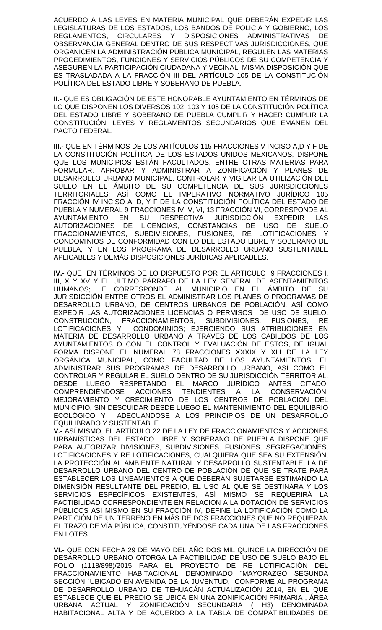ACUERDO A LAS LEYES EN MATERIA MUNICIPAL QUE DEBERÁN EXPEDIR LAS LEGISLATURAS DE LOS ESTADOS, LOS BANDOS DE POLICIA Y GOBIERNO, LOS REGLAMENTOS, CIRCULARES Y DISPOSICIONES ADMINISTRATIVAS DE OBSERVANCIA GENERAL DENTRO DE SUS RESPECTIVAS JURISDICCIONES, QUE ORGANICEN LA ADMINISTRACIÓN PÚBLICA MUNICIPAL, REGULEN LAS MATERIAS PROCEDIMIENTOS, FUNCIONES Y SERVICIOS PÚBLICOS DE SU COMPETENCIA Y ASEGUREN LA PARTICIPACIÓN CIUDADANA Y VECINAL; MISMA DISPOSICIÓN QUE ES TRASLADADA A LA FRACCIÓN III DEL ARTÍCULO 105 DE LA CONSTITUCIÓN POLÍTICA DEL ESTADO LIBRE Y SOBERANO DE PUEBLA.

**II.-** QUE ES OBLIGACIÓN DE ESTE HONORABLE AYUNTAMIENTO EN TÉRMINOS DE LO QUE DISPONEN LOS DIVERSOS 102, 103 Y 105 DE LA CONSTITUCIÓN POLÍTICA DEL ESTADO LIBRE Y SOBERANO DE PUEBLA CUMPLIR Y HACER CUMPLIR LA CONSTITUCIÓN, LEYES Y REGLAMENTOS SECUNDARIOS QUE EMANEN DEL PACTO FEDERAL.

**III.-** QUE EN TÉRMINOS DE LOS ARTÍCULOS 115 FRACCIONES V INCISO A,D Y F DE LA CONSTITUCIÓN POLÍTICA DE LOS ESTADOS UNIDOS MEXICANOS, DISPONE QUE LOS MUNICIPIOS ESTÁN FACULTADOS, ENTRE OTRAS MATERIAS PARA FORMULAR, APROBAR Y ADMINISTRAR A ZONIFICACIÓN Y PLANES DE DESARROLLO URBANO MUNICIPAL, CONTROLAR Y VIGILAR LA UTILIZACIÓN DEL SUELO EN EL ÁMBITO DE SU COMPETENCIA DE SUS JURISDICCIONES TERRITORIALES; ASÍ COMO EL IMPERATIVO NORMATIVO JURÍDICO 105 FRACCIÓN IV INCISO A, D, Y F DE LA CONSTITUCIÓN POLÍTICA DEL ESTADO DE PUEBLA Y NUMERAL 9 FRACCIONES IV, V, VI, 13 FRACCIÓN VI, CORRESPONDE AL AYUNTAMIENTO EN SU RESPECTIVA JURISDICCIÓN EXPEDIR LAS AUTORIZACIONES DE LICENCIAS, CONSTANCIAS DE USO DE SUELO FRACCIONAMIENTOS, SUBDIVISIONES, FUSIONES, RE LOTIFICACIONES Y CONDOMINIOS DE CONFORMIDAD CON LO DEL ESTADO LIBRE Y SOBERANO DE PUEBLA, Y EN LOS PROGRAMA DE DESARROLLO URBANO SUSTENTABLE APLICABLES Y DEMÁS DISPOSICIONES JURÍDICAS APLICABLES.

**IV.-** QUE EN TÉRMINOS DE LO DISPUESTO POR EL ARTICULO 9 FRACCIONES I, III, X Y XV Y EL ÚLTIMO PÁRRAFO DE LA LEY GENERAL DE ASENTAMIENTOS HUMANOS; LE CORRESPONDE AL MUNICIPIO EN EL ÁMBITO DE SU JURISDICCIÓN ENTRE OTROS EL ADMINISTRAR LOS PLANES O PROGRAMAS DE DESARROLLO URBANO, DE CENTROS URBANOS DE POBLACIÓN, ASÍ COMO EXPEDIR LAS AUTORIZACIONES LICENCIAS O PERMISOS DE USO DE SUELO, CONSTRUCCIÓN, FRACCIONAMIENTOS, SUBDIVISIONES, FUSIONES, RE LOTIFICACIONES Y CONDOMINIOS; EJERCIENDO SUS ATRIBUCIONES EN MATERIA DE DESARROLLO URBANO A TRAVÉS DE LOS CABILDOS DE LOS AYUNTAMIENTOS O CON EL CONTROL Y EVALUACIÓN DE ESTOS, DE IGUAL FORMA DISPONE EL NUMERAL 78 FRACCIONES XXXIX Y XLI DE LA LEY ORGÁNICA MUNICIPAL, COMO FACULTAD DE LOS AYUNTAMIENTOS, EL ADMINISTRAR SUS PROGRAMAS DE DESARROLLO URBANO, ASÍ COMO EL CONTROLAR Y REGULAR EL SUELO DENTRO DE SU JURISDICCIÓN TERRITORIAL, DESDE LUEGO RESPETANDO EL MARCO JURÍDICO ANTES CITADO; COMPRENDIÉNDOSE ACCIONES TENDIENTES A LA CONSERVACIÓN, MEJORAMIENTO Y CRECIMIENTO DE LOS CENTROS DE POBLACIÓN DEL MUNICIPIO, SIN DESCUIDAR DESDE LUEGO EL MANTENIMIENTO DEL EQUILIBRIO ECOLÓGICO Y ADECUÁNDOSE A LOS PRINCIPIOS DE UN DESARROLLO EQUILIBRADO Y SUSTENTABLE.

**V.-** ASÍ MISMO, EL ARTÍCULO 22 DE LA LEY DE FRACCIONAMIENTOS Y ACCIONES URBANÍSTICAS DEL ESTADO LIBRE Y SOBERANO DE PUEBLA DISPONE QUE PARA AUTORIZAR DIVISIONES, SUBDIVISIONES, FUSIONES, SEGREGACIONES, LOTIFICACIONES Y RE LOTIFICACIONES, CUALQUIERA QUE SEA SU EXTENSIÓN, LA PROTECCIÓN AL AMBIENTE NATURAL Y DESARROLLO SUSTENTABLE, LA DE DESARROLLO URBANO DEL CENTRO DE POBLACIÓN DE QUE SE TRATE PARA ESTABLECER LOS LINEAMIENTOS A QUE DEBERÁN SUJETARSE ESTIMANDO LA DIMENSIÓN RESULTANTE DEL PREDIO, EL USO AL QUE SE DESTINARA Y LOS SERVICIOS ESPECÍFICOS EXISTENTES, ASÍ MISMO SE REQUERIRÁ LA FACTIBILIDAD CORRESPONDIENTE EN RELACIÓN A LA DOTACIÓN DE SERVICIOS PÚBLICOS ASÍ MISMO EN SU FRACCIÓN IV, DEFINE LA LOTIFICACIÓN COMO LA PARTICIÓN DE UN TERRENO EN MÁS DE DOS FRACCIONES QUE NO REQUIERAN EL TRAZO DE VÍA PÚBLICA, CONSTITUYÉNDOSE CADA UNA DE LAS FRACCIONES EN LOTES.

**VI.-** QUE CON FECHA 29 DE MAYO DEL AÑO DOS MIL QUINCE LA DIRECCIÓN DE DESARROLLO URBANO OTORGA LA FACTIBILIDAD DE USO DE SUELO BAJO EL FOLIO (1118/898)/2015 PARA EL PROYECTO DE RE LOTIFICACIÓN DEL FRACCIONAMIENTO HABITACIONAL DENOMINADO "MAYORAZGO SEGUNDA SECCIÓN "UBICADO EN AVENIDA DE LA JUVENTUD, CONFORME AL PROGRAMA DE DESARROLLO URBANO DE TEHUACAN ACTUALIZACION 2014, EN EL QUE ESTABLECE QUE EL PREDIO SE UBICA EN UNA ZONIFICACIÓN PRIMARIA , ÁREA URBANA ACTUAL Y ZONIFICACIÓN SECUNDARIA ( H3) DENOMINADA HABITACIONAL ALTA Y DE ACUERDO A LA TABLA DE COMPATIBILIDADES DE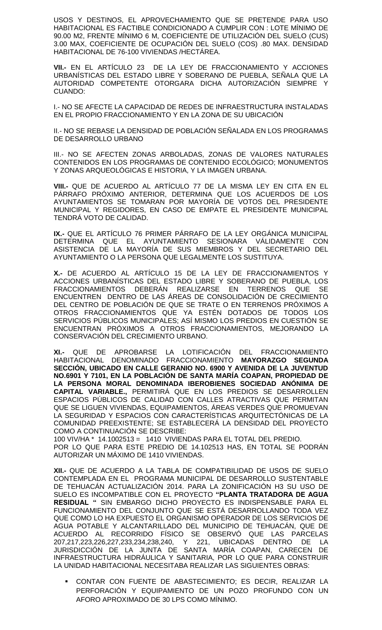USOS Y DESTINOS, EL APROVECHAMIENTO QUE SE PRETENDE PARA USO HABITACIONAL ES FACTIBLE CONDICIONADO A CUMPLIR CON : LOTE MÍNIMO DE 90.00 M2, FRENTE MÍNIMO 6 M, COEFICIENTE DE UTILIZACIÓN DEL SUELO (CUS) 3.00 MAX, COEFICIENTE DE OCUPACIÓN DEL SUELO (COS) .80 MAX. DENSIDAD HABITACIONAL DE 76-100 VIVIENDAS /HECTÁREA.

**VII.-** EN EL ARTÍCULO 23 DE LA LEY DE FRACCIONAMIENTO Y ACCIONES URBANÍSTICAS DEL ESTADO LIBRE Y SOBERANO DE PUEBLA, SEÑALA QUE LA AUTORIDAD COMPETENTE OTORGARA DICHA AUTORIZACIÓN SIEMPRE Y CUANDO:

I.- NO SE AFECTE LA CAPACIDAD DE REDES DE INFRAESTRUCTURA INSTALADAS EN EL PROPIO FRACCIONAMIENTO Y EN LA ZONA DE SU UBICACIÓN

II.- NO SE REBASE LA DENSIDAD DE POBLACIÓN SEÑALADA EN LOS PROGRAMAS DE DESARROLLO URBANO

III.- NO SE AFECTEN ZONAS ARBOLADAS, ZONAS DE VALORES NATURALES CONTENIDOS EN LOS PROGRAMAS DE CONTENIDO ECOLÓGICO; MONUMENTOS Y ZONAS ARQUEOLÓGICAS E HISTORIA, Y LA IMAGEN URBANA.

**VIII.-** QUE DE ACUERDO AL ARTÍCULO 77 DE LA MISMA LEY EN CITA EN EL PÁRRAFO PRÓXIMO ANTERIOR, DETERMINA QUE LOS ACUERDOS DE LOS AYUNTAMIENTOS SE TOMARAN POR MAYORÍA DE VOTOS DEL PRESIDENTE MUNICIPAL Y REGIDORES, EN CASO DE EMPATE EL PRESIDENTE MUNICIPAL TENDRÁ VOTO DE CALIDAD.

**IX.-** QUE EL ARTÍCULO 76 PRIMER PÁRRAFO DE LA LEY ORGÁNICA MUNICIPAL DETERMINA QUE EL AYUNTAMIENTO SESIONARA VÁLIDAMENTE CON ASISTENCIA DE LA MAYORÍA DE SUS MIEMBROS Y DEL SECRETARIO DEL AYUNTAMIENTO O LA PERSONA QUE LEGALMENTE LOS SUSTITUYA.

**X.-** DE ACUERDO AL ARTÍCULO 15 DE LA LEY DE FRACCIONAMIENTOS Y ACCIONES URBANÍSTICAS DEL ESTADO LIBRE Y SOBERANO DE PUEBLA, LOS FRACCIONAMIENTOS DEBERÁN REALIZARSE EN TERRENOS QUE SE ENCUENTREN DENTRO DE LAS ÁREAS DE CONSOLIDACIÓN DE CRECIMIENTO DEL CENTRO DE POBLACIÓN DE QUE SE TRATE O EN TERRENOS PRÓXIMOS A OTROS FRACCIONAMIENTOS QUE YA ESTÉN DOTADOS DE TODOS LOS SERVICIOS PÚBLICOS MUNICIPALES; ASÍ MISMO LOS PREDIOS EN CUESTIÓN SE ENCUENTRAN PRÓXIMOS A OTROS FRACCIONAMIENTOS, MEJORANDO LA CONSERVACIÓN DEL CRECIMIENTO URBANO.

**XI.-** QUE DE APROBARSE LA LOTIFICACIÓN DEL FRACCIONAMIENTO HABITACIONAL DENOMINADO FRACCIONAMIENTO **MAYORAZGO SEGUNDA SECCIÓN, UBICADO EN CALLE GERANIO NO. 6900 Y AVENIDA DE LA JUVENTUD NO.6901 Y 7101, EN LA POBLACIÓN DE SANTA MARÍA COAPAN, PROPIEDAD DE LA PERSONA MORAL DENOMINADA IBEROBIENES SOCIEDAD ANÓNIMA DE CAPITAL VARIABLE.,** PERMITIRÁ QUE EN LOS PREDIOS SE DESARROLLEN ESPACIOS PÚBLICOS DE CALIDAD CON CALLES ATRACTIVAS QUE PERMITAN QUE SE LIGUEN VIVIENDAS, EQUIPAMIENTOS, ÁREAS VERDES QUE PROMUEVAN LA SEGURIDAD Y ESPACIOS CON CARACTERÍSTICAS ARQUITECTÓNICAS DE LA COMUNIDAD PREEXISTENTE; SE ESTABLECERÁ LA DENSIDAD DEL PROYECTO COMO A CONTINUACIÓN SE DESCRIBE:

100 VIV/HA \* 14.1002513 = 1410 VIVIENDAS PARA EL TOTAL DEL PREDIO. POR LO QUE PARA ESTE PREDIO DE 14.102513 HAS, EN TOTAL SE PODRÁN AUTORIZAR UN MÁXIMO DE 1410 VIVIENDAS.

**XII.-** QUE DE ACUERDO A LA TABLA DE COMPATIBILIDAD DE USOS DE SUELO CONTEMPLADA EN EL PROGRAMA MUNICIPAL DE DESARROLLO SUSTENTABLE DE TEHUACÁN ACTUALIZACIÓN 2014. PARA LA ZONIFICACIÓN H3 SU USO DE SUELO ES INCOMPATIBLE CON EL PROYECTO **"PLANTA TRATADORA DE AGUA RESIDUAL "** SIN EMBARGO DICHO PROYECTO ES INDISPENSABLE PARA EL FUNCIONAMIENTO DEL CONJUNTO QUE SE ESTÁ DESARROLLANDO TODA VEZ QUE COMO LO HA EXPUESTO EL ORGANISMO OPERADOR DE LOS SERVICIOS DE AGUA POTABLE Y ALCANTARILLADO DEL MUNICIPIO DE TEHUACÁN, QUE DE ACUERDO AL RECORRIDO FÍSICO SE OBSERVÓ QUE LAS PARCELAS 207,217,223,226,227,233,234,238,240, Y 221, UBICADAS DENTRO DE LA JURISDICCIÓN DE LA JUNTA DE SANTA MARÍA COAPAN, CARECEN DE INFRAESTRUCTURA HIDRÁULICA Y SANITARIA, POR LO QUE PARA CONSTRUIR LA UNIDAD HABITACIONAL NECESITABA REALIZAR LAS SIGUIENTES OBRAS:

 CONTAR CON FUENTE DE ABASTECIMIENTO; ES DECIR, REALIZAR LA PERFORACIÓN Y EQUIPAMIENTO DE UN POZO PROFUNDO CON UN AFORO APROXIMADO DE 30 LPS COMO MÍNIMO.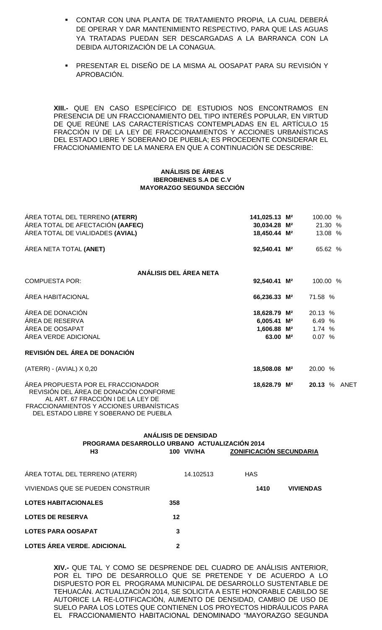- CONTAR CON UNA PLANTA DE TRATAMIENTO PROPIA, LA CUAL DEBERÁ DE OPERAR Y DAR MANTENIMIENTO RESPECTIVO, PARA QUE LAS AGUAS YA TRATADAS PUEDAN SER DESCARGADAS A LA BARRANCA CON LA DEBIDA AUTORIZACIÓN DE LA CONAGUA.
- PRESENTAR EL DISEÑO DE LA MISMA AL OOSAPAT PARA SU REVISIÓN Y APROBACIÓN.

**XIII.-** QUE EN CASO ESPECÍFICO DE ESTUDIOS NOS ENCONTRAMOS EN PRESENCIA DE UN FRACCIONAMIENTO DEL TIPO INTERÉS POPULAR, EN VIRTUD DE QUE REÚNE LAS CARACTERÍSTICAS CONTEMPLADAS EN EL ARTÍCULO 15 FRACCIÓN IV DE LA LEY DE FRACCIONAMIENTOS Y ACCIONES URBANÍSTICAS DEL ESTADO LIBRE Y SOBERANO DE PUEBLA; ES PROCEDENTE CONSIDERAR EL FRACCIONAMIENTO DE LA MANERA EN QUE A CONTINUACIÓN SE DESCRIBE:

#### **ANÁLISIS DE ÁREAS IBEROBIENES S.A DE C.V MAYORAZGO SEGUNDA SECCIÓN**

| ÁREA TOTAL DEL TERRENO (ATERR)                                                                                     | 141,025.13 M <sup>2</sup> | 100.00 %     |
|--------------------------------------------------------------------------------------------------------------------|---------------------------|--------------|
| ÁREA TOTAL DE AFECTACIÓN (AAFEC)                                                                                   | 30,034.28 M <sup>2</sup>  | 21.30 %      |
| ÁREA TOTAL DE VIALIDADES (AVIAL)                                                                                   | 18,450.44 M <sup>2</sup>  | 13.08 %      |
| ÁREA NETA TOTAL (ANET)                                                                                             | 92,540.41 M <sup>2</sup>  | 65.62 %      |
| ANÁLISIS DEL ÁREA NETA                                                                                             |                           |              |
| <b>COMPUESTA POR:</b>                                                                                              | 92,540.41 M <sup>2</sup>  | 100.00 %     |
| ÁREA HABITACIONAL                                                                                                  | 66,236.33 M <sup>2</sup>  | 71.58 %      |
| ÁREA DE DONACIÓN                                                                                                   | 18,628.79 M <sup>2</sup>  | 20.13 %      |
| ÁREA DE RESERVA                                                                                                    | $6,005.41$ M <sup>2</sup> | 6.49 %       |
| ÁREA DE OOSAPAT                                                                                                    | $1,606.88$ M <sup>2</sup> | 1.74 %       |
| <b>ÁREA VERDE ADICIONAL</b>                                                                                        | 63.00 M <sup>2</sup>      | 0.07 %       |
| REVISIÓN DEL ÁREA DE DONACIÓN                                                                                      |                           |              |
| (ATERR) - (AVIAL) X 0,20                                                                                           | 18,508.08 M <sup>2</sup>  | 20.00 %      |
| ÁREA PROPUESTA POR EL FRACCIONADOR<br>REVISIÓN DEL ÁREA DE DONACIÓN CONFORME<br>AL ART. 67 FRACCIÓN I DE LA LEY DE | 18,628.79 M <sup>2</sup>  | 20.13 % ANET |

FRACCIONAMIENTOS Y ACCIONES URBANÍSTICAS

DEL ESTADO LIBRE Y SOBERANO DE PUEBLA

# **ANÁLISIS DE DENSIDAD PROGRAMA DESARROLLO URBANO ACTUALIZACIÓN 2014 H3 100 VIV/HA ZONIFICACIÓN SECUNDARIA** ÁREA TOTAL DEL TERRENO (ATERR) 14.102513 HAS VIVIENDAS QUE SE PUEDEN CONSTRUIR **1410 VIVIENDAS LOTES HABITACIONALES 358 LOTES DE RESERVA 12**

**LOTES PARA OOSAPAT 3**

**LOTES ÁREA VERDE. ADICIONAL 2**

**XIV.-** QUE TAL Y COMO SE DESPRENDE DEL CUADRO DE ANÁLISIS ANTERIOR, POR EL TIPO DE DESARROLLO QUE SE PRETENDE Y DE ACUERDO A LO DISPUESTO POR EL PROGRAMA MUNICIPAL DE DESARROLLO SUSTENTABLE DE TEHUACÁN. ACTUALIZACIÓN 2014, SE SOLICITA A ESTE HONORABLE CABILDO SE AUTORICE LA RE-LOTIFICACIÓN, AUMENTO DE DENSIDAD, CAMBIO DE USO DE SUELO PARA LOS LOTES QUE CONTIENEN LOS PROYECTOS HIDRÁULICOS PARA EL FRACCIONAMIENTO HABITACIONAL DENOMINADO "MAYORAZGO SEGUNDA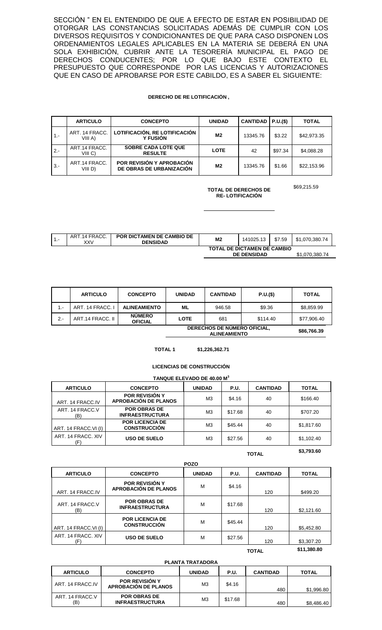SECCIÓN " EN EL ENTENDIDO DE QUE A EFECTO DE ESTAR EN POSIBILIDAD DE OTORGAR LAS CONSTANCIAS SOLICITADAS ADEMÁS DE CUMPLIR CON LOS DIVERSOS REQUISITOS Y CONDICIONANTES DE QUE PARA CASO DISPONEN LOS ORDENAMIENTOS LEGALES APLICABLES EN LA MATERIA SE DEBERÁ EN UNA SOLA EXHIBICIÓN, CUBRIR ANTE LA TESORERÍA MUNICIPAL EL PAGO DE DERECHOS CONDUCENTES; POR LO QUE BAJO ESTE CONTEXTO EL PRESUPUESTO QUE CORRESPONDE POR LAS LICENCIAS Y AUTORIZACIONES QUE EN CASO DE APROBARSE POR ESTE CABILDO, ES A SABER EL SIGUIENTE:

#### **DERECHO DE RE LOTIFICACIÓN ,**

|       | <b>ARTICULO</b>           | <b>CONCEPTO</b>                                       | <b>UNIDAD</b>  | CANTIDAD   P.U.(\$) |         | <b>TOTAL</b> |
|-------|---------------------------|-------------------------------------------------------|----------------|---------------------|---------|--------------|
| $1 -$ | ART. 14 FRACC.<br>VIII A) | LOTIFICACIÓN, RE LOTIFICACIÓN<br><b>Y FUSION</b>      | <b>M2</b>      | 13345.76            | \$3.22  | \$42,973.35  |
| $2 -$ | ART.14 FRACC.<br>VIII C)  | <b>SOBRE CADA LOTE QUE</b><br><b>RESULTE</b>          | <b>LOTE</b>    | 42                  | \$97.34 | \$4.088.28   |
| $3 -$ | ART.14 FRACC.<br>VIII D)  | POR REVISIÓN Y APROBACIÓN<br>DE OBRAS DE URBANIZACIÓN | M <sub>2</sub> | 13345.76            | \$1.66  | \$22,153.96  |

**TOTAL DE DERECHOS DE RE- LOTIFICACIÓN**

\$69,215.59

| ART.14 FRACC.<br>XXV | <b>POR DICTAMEN DE CAMBIO DE</b><br><b>DENSIDAD</b> | M <sub>2</sub> | 141025.13                                                | \$7.59 | \$1.070.380.74 |  |
|----------------------|-----------------------------------------------------|----------------|----------------------------------------------------------|--------|----------------|--|
|                      |                                                     |                | <b>TOTAL DE DICTAMEN DE CAMBIO</b><br><b>DE DENSIDAD</b> |        | \$1,070,380,74 |  |

|       | <b>ARTICULO</b>                  | <b>CONCEPTO</b>                 | <b>UNIDAD</b> | <b>CANTIDAD</b> | P.U.(\$) | <b>TOTAL</b> |
|-------|----------------------------------|---------------------------------|---------------|-----------------|----------|--------------|
| $1 -$ | ART. 14 FRACC.                   | <b>ALINEAMIENTO</b>             | ML            | 946.58          | \$9.36   | \$8,859.99   |
| $2 -$ | ART.14 FRACC. II                 | <b>NUMERO</b><br><b>OFICIAL</b> | <b>LOTE</b>   | 681             | \$114.40 | \$77,906.40  |
|       | DERECHOS DE NÚMERO OFICIAL,<br>. |                                 |               |                 |          | \$86.766.39  |

**ALINEAMIENTO \$86,766.39**

# **TOTAL 1 \$1,226,362.71**

**LICENCIAS DE CONSTRUCCIÓN** 

| TANQUE ELEVADO DE 40.00 M <sup>3</sup> |                                               |               |         |                 |              |  |
|----------------------------------------|-----------------------------------------------|---------------|---------|-----------------|--------------|--|
| <b>ARTICULO</b>                        | <b>CONCEPTO</b>                               | <b>UNIDAD</b> | P.U.    | <b>CANTIDAD</b> | <b>TOTAL</b> |  |
| ART. 14 FRACC.IV                       | POR REVISIÓN Y<br><b>APROBACIÓN DE PLANOS</b> | MЗ            | \$4.16  | 40              | \$166.40     |  |
| ART. 14 FRACC.V<br>(B)                 | <b>POR OBRAS DE</b><br><b>INFRAESTRUCTURA</b> | MЗ            | \$17.68 | 40              | \$707.20     |  |
| ART. 14 FRACC.VI (I)                   | <b>POR LICENCIA DE</b><br><b>CONSTRUCCIÓN</b> | MЗ            | \$45.44 | 40              | \$1,817.60   |  |
| ART. 14 FRACC, XIV<br>(F)              | <b>USO DE SUELO</b>                           | MЗ            | \$27.56 | 40              | \$1,102.40   |  |

**TOTAL \$3,793.60**

|                           |                                                      | <b>POZO</b>   |         |                 |              |
|---------------------------|------------------------------------------------------|---------------|---------|-----------------|--------------|
| <b>ARTICULO</b>           | <b>CONCEPTO</b>                                      | <b>UNIDAD</b> | P.U.    | <b>CANTIDAD</b> | <b>TOTAL</b> |
| ART. 14 FRACC.IV          | <b>POR REVISIÓN Y</b><br><b>APROBACIÓN DE PLANOS</b> | M             | \$4.16  | 120             | \$499.20     |
| ART. 14 FRACC.V<br>(B)    | <b>POR OBRAS DE</b><br><b>INFRAESTRUCTURA</b>        | M             | \$17.68 | 120             | \$2,121.60   |
| ART. 14 FRACC.VI (I)      | <b>POR LICENCIA DE</b><br><b>CONSTRUCCIÓN</b>        | M             | \$45.44 | 120             | \$5.452.80   |
| ART. 14 FRACC. XIV<br>(F) | <b>USO DE SUELO</b>                                  | M             | \$27.56 | 120             | \$3,307.20   |
| <b>TOTAL</b>              |                                                      |               |         |                 |              |

#### **PLANTA TRATADORA**

| <b>ARTICULO</b>        | <b>CONCEPTO</b>                                      | <b>UNIDAD</b>  | P.U.    | <b>CANTIDAD</b> | <b>TOTAL</b> |
|------------------------|------------------------------------------------------|----------------|---------|-----------------|--------------|
| ART. 14 FRACC.IV       | <b>POR REVISIÓN Y</b><br><b>APROBACIÓN DE PLANOS</b> | M <sub>3</sub> | \$4.16  | 480             | \$1,996.80   |
| ART. 14 FRACC.V<br>(B) | <b>POR OBRAS DE</b><br><b>INFRAESTRUCTURA</b>        | M <sub>3</sub> | \$17.68 | 480             | \$8,486.40   |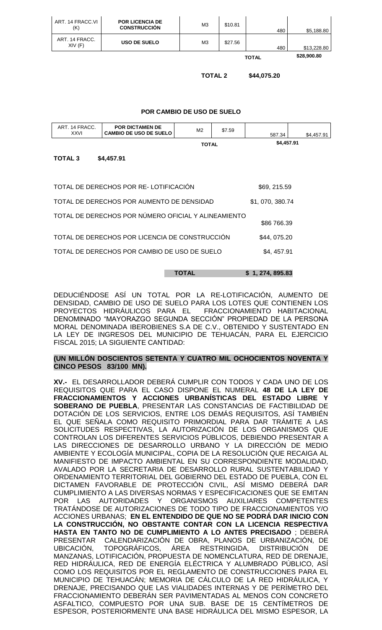|                             |                                               |                |         | <b>TOTAL</b> | \$28,900.80 |
|-----------------------------|-----------------------------------------------|----------------|---------|--------------|-------------|
| ART. 14 FRACC.<br>$XIV$ (F) | <b>USO DE SUELO</b>                           | M3             | \$27.56 | 480          | \$13,228.80 |
| ART. 14 FRACC.VI<br>(K)     | <b>POR LICENCIA DE</b><br><b>CONSTRUCCIÓN</b> | M <sub>3</sub> | \$10.81 | 480          | \$5,188.80  |

**TOTAL 2 \$44,075.20**

#### **POR CAMBIO DE USO DE SUELO**

| ART. 14 FRACC.<br>XXVI | <b>POR DICTAMEN DE</b><br><b>CAMBIO DE USO DE SUELO  </b> | M <sub>2</sub> | \$7.59 | 587.34     | \$4.457.91 |
|------------------------|-----------------------------------------------------------|----------------|--------|------------|------------|
|                        |                                                           | <b>TOTAL</b>   |        | \$4.457.91 |            |

## **TOTAL 3 \$4,457.91**

| TOTAL DE DERECHOS POR RE-LOTIFICACIÓN               | \$69, 215.59   |
|-----------------------------------------------------|----------------|
| TOTAL DE DERECHOS POR AUMENTO DE DENSIDAD           | \$1,070,380.74 |
| TOTAL DE DERECHOS POR NÚMERO OFICIAL Y ALINEAMIENTO | \$86 766.39    |
| TOTAL DE DERECHOS POR LICENCIA DE CONSTRUCCIÓN      | \$44,075.20    |
| TOTAL DE DERECHOS POR CAMBIO DE USO DE SUELO        | \$4, 457.91    |
|                                                     |                |

 **TOTAL \$ 1, 274, 895.83**

DEDUCIÉNDOSE ASÍ UN TOTAL POR LA RE-LOTIFICACIÓN, AUMENTO DE DENSIDAD, CAMBIO DE USO DE SUELO PARA LOS LOTES QUE CONTIENEN LOS PROYECTOS HIDRÁULICOS PARA EL FRACCIONAMIENTO HABITACIONAL DENOMINADO "MAYORAZGO SEGUNDA SECCIÓN" PROPIEDAD DE LA PERSONA MORAL DENOMINADA IBEROBIENES S.A DE C.V., OBTENIDO Y SUSTENTADO EN LA LEY DE INGRESOS DEL MUNICIPIO DE TEHUACÁN, PARA EL EJERCICIO FISCAL 2015; LA SIGUIENTE CANTIDAD:

#### **(UN MILLÓN DOSCIENTOS SETENTA Y CUATRO MIL OCHOCIENTOS NOVENTA Y CINCO PESOS 83/100 MN).**

**XV.-** EL DESARROLLADOR DEBERÁ CUMPLIR CON TODOS Y CADA UNO DE LOS REQUISITOS QUE PARA EL CASO DISPONE EL NUMERAL **48 DE LA LEY DE FRACCIONAMIENTOS Y ACCIONES URBANÍSTICAS DEL ESTADO LIBRE Y SOBERANO DE PUEBLA**, PRESENTAR LAS CONSTANCIAS DE FACTIBILIDAD DE DOTACIÓN DE LOS SERVICIOS, ENTRE LOS DEMÁS REQUISITOS, ASÍ TAMBIÉN EL QUE SEÑALA COMO REQUISITO PRIMORDIAL PARA DAR TRÁMITE A LAS SOLICITUDES RESPECTIVAS, LA AUTORIZACIÓN DE LOS ORGANISMOS QUE CONTROLAN LOS DIFERENTES SERVICIOS PÚBLICOS, DEBIENDO PRESENTAR A LAS DIRECCIONES DE DESARROLLO URBANO Y LA DIRECCIÓN DE MEDIO AMBIENTE Y ECOLOGÍA MUNICIPAL, COPIA DE LA RESOLUCIÓN QUE RECAIGA AL MANIFIESTO DE IMPACTO AMBIENTAL EN SU CORRESPONDIENTE MODALIDAD, AVALADO POR LA SECRETARIA DE DESARROLLO RURAL SUSTENTABILIDAD Y ORDENAMIENTO TERRITORIAL DEL GOBIERNO DEL ESTADO DE PUEBLA, CON EL DICTAMEN FAVORABLE DE PROTECCIÓN CIVIL, ASÍ MISMO DEBERÁ DAR CUMPLIMIENTO A LAS DIVERSAS NORMAS Y ESPECIFICACIONES QUE SE EMITAN POR LAS AUTORIDADES Y ORGANISMOS AUXILIARES COMPETENTES TRATÁNDOSE DE AUTORIZACIONES DE TODO TIPO DE FRACCIONAMIENTOS Y/O ACCIONES URBANAS; **EN EL ENTENDIDO DE QUE NO SE PODRÁ DAR INICIO CON LA CONSTRUCCIÓN, NO OBSTANTE CONTAR CON LA LICENCIA RESPECTIVA HASTA EN TANTO NO DE CUMPLIMIENTO A LO ANTES PRECISADO** ; DEBERÁ PRESENTAR CALENDARIZACIÓN DE OBRA, PLANOS DE URBANIZACIÓN, DE UBICACIÓN, TOPOGRÁFICOS, ÁREA RESTRINGIDA, DISTRIBUCIÓN DE MANZANAS, LOTIFICACIÓN, PROPUESTA DE NOMENCLATURA, RED DE DRENAJE, RED HIDRÁULICA, RED DE ENERGÍA ELÉCTRICA Y ALUMBRADO PÚBLICO, ASÍ COMO LOS REQUISITOS POR EL REGLAMENTO DE CONSTRUCCIONES PARA EL MUNICIPIO DE TEHUACÁN; MEMORIA DE CÁLCULO DE LA RED HIDRÁULICA, Y DRENAJE, PRECISANDO QUE LAS VIALIDADES INTERNAS Y DE PERÍMETRO DEL FRACCIONAMIENTO DEBERÁN SER PAVIMENTADAS AL MENOS CON CONCRETO ASFALTICO, COMPUESTO POR UNA SUB. BASE DE 15 CENTÍMETROS DE ESPESOR, POSTERIORMENTE UNA BASE HIDRÁULICA DEL MISMO ESPESOR, LA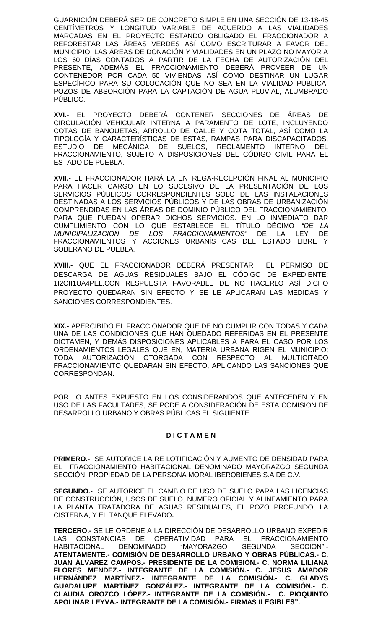GUARNICIÓN DEBERÁ SER DE CONCRETO SIMPLE EN UNA SECCIÓN DE 13-18-45 CENTÍMETROS Y LONGITUD VARIABLE DE ACUERDO A LAS VIALIDADES MARCADAS EN EL PROYECTO ESTANDO OBLIGADO EL FRACCIONADOR A REFORESTAR LAS ÁREAS VERDES ASÍ COMO ESCRITURAR A FAVOR DEL MUNICIPIO LAS ÁREAS DE DONACIÓN Y VIALIDADES EN UN PLAZO NO MAYOR A LOS 60 DÍAS CONTADOS A PARTIR DE LA FECHA DE AUTORIZACIÓN DEL PRESENTE, ADEMÁS EL FRACCIONAMIENTO DEBERÁ PROVEER DE UN CONTENEDOR POR CADA 50 VIVIENDAS ASÍ COMO DESTINAR UN LUGAR ESPECÍFICO PARA SU COLOCACIÓN QUE NO SEA EN LA VIALIDAD PUBLICA, POZOS DE ABSORCIÓN PARA LA CAPTACIÓN DE AGUA PLUVIAL, ALUMBRADO PÚBLICO.

**XVI.-** EL PROYECTO DEBERÁ CONTENER SECCIONES DE ÁREAS DE CIRCULACIÓN VEHICULAR INTERNA A PARAMENTO DE LOTE, INCLUYENDO COTAS DE BANQUETAS, ARROLLO DE CALLE Y COTA TOTAL, ASÍ COMO LA TIPOLOGÍA Y CARACTERÍSTICAS DE ESTAS, RAMPAS PARA DISCAPACITADOS, ESTUDIO DE MECÁNICA DE SUELOS, REGLAMENTO INTERNO DEL FRACCIONAMIENTO, SUJETO A DISPOSICIONES DEL CÓDIGO CIVIL PARA EL ESTADO DE PUEBLA.

**XVII.-** EL FRACCIONADOR HARÁ LA ENTREGA-RECEPCIÓN FINAL AL MUNICIPIO PARA HACER CARGO EN LO SUCESIVO DE LA PRESENTACIÓN DE LOS SERVICIOS PÚBLICOS CORRESPONDIENTES SOLO DE LAS INSTALACIONES DESTINADAS A LOS SERVICIOS PÚBLICOS Y DE LAS OBRAS DE URBANIZACIÓN COMPRENDIDAS EN LAS ÁREAS DE DOMINIO PÚBLICO DEL FRACCIONAMIENTO, PARA QUE PUEDAN OPERAR DICHOS SERVICIOS. EN LO INMEDIATO DAR CUMPLIMIENTO CON LO QUE ESTABLECE EL TÍTULO DÉCIMO *"DE LA MUNICIPALIZACIÓN DE LOS FRACCIONAMIENTOS"* DE LA LEY DE FRACCIONAMIENTOS Y ACCIONES URBANÍSTICAS DEL ESTADO LIBRE Y SOBERANO DE PUEBLA.

**XVIII.-** QUE EL FRACCIONADOR DEBERÁ PRESENTAR EL PERMISO DE DESCARGA DE AGUAS RESIDUALES BAJO EL CÓDIGO DE EXPEDIENTE: 1I2OII1UA4PEL.CON RESPUESTA FAVORABLE DE NO HACERLO ASÍ DICHO PROYECTO QUEDARAN SIN EFECTO Y SE LE APLICARAN LAS MEDIDAS Y SANCIONES CORRESPONDIENTES.

**XIX.-** APERCIBIDO EL FRACCIONADOR QUE DE NO CUMPLIR CON TODAS Y CADA UNA DE LAS CONDICIONES QUE HAN QUEDADO REFERIDAS EN EL PRESENTE DICTAMEN, Y DEMÁS DISPOSICIONES APLICABLES A PARA EL CASO POR LOS ORDENAMIENTOS LEGALES QUE EN, MATERIA URBANA RIGEN EL MUNICIPIO; TODA AUTORIZACIÓN OTORGADA CON RESPECTO AL MULTICITADO FRACCIONAMIENTO QUEDARAN SIN EFECTO, APLICANDO LAS SANCIONES QUE CORRESPONDAN.

POR LO ANTES EXPUESTO EN LOS CONSIDERANDOS QUE ANTECEDEN Y EN USO DE LAS FACULTADES, SE PODE A CONSIDERACIÓN DE ESTA COMISIÓN DE DESARROLLO URBANO Y OBRAS PÚBLICAS EL SIGUIENTE:

## **D I C T A M E N**

**PRIMERO.-** SE AUTORICE LA RE LOTIFICACIÓN Y AUMENTO DE DENSIDAD PARA EL FRACCIONAMIENTO HABITACIONAL DENOMINADO MAYORAZGO SEGUNDA SECCIÓN. PROPIEDAD DE LA PERSONA MORAL IBEROBIENES S.A DE C.V.

**SEGUNDO.-** SE AUTORICE EL CAMBIO DE USO DE SUELO PARA LAS LICENCIAS DE CONSTRUCCIÓN, USOS DE SUELO, NÚMERO OFICIAL Y ALINEAMIENTO PARA LA PLANTA TRATADORA DE AGUAS RESIDUALES, EL POZO PROFUNDO, LA CISTERNA, Y EL TANQUE ELEVADO**.**

**TERCERO.-** SE LE ORDENE A LA DIRECCIÓN DE DESARROLLO URBANO EXPEDIR LAS CONSTANCIAS DE OPERATIVIDAD PARA EL FRACCIONAMIENTO<br>HABITACIONAL DENOMINADO "MAYORAZGO SEGUNDA SECCIÓN".-HABITACIONAL DENOMINADO "MAYORAZGO SEGUNDA SECCIÓN".- **ATENTAMENTE.- COMISIÓN DE DESARROLLO URBANO Y OBRAS PÚBLICAS.- C. JUAN ÁLVAREZ CAMPOS.- PRESIDENTE DE LA COMISIÓN.- C. NORMA LILIANA FLORES MENDEZ.- INTEGRANTE DE LA COMISIÓN.- C. JESUS AMADOR HERNÁNDEZ MARTÍNEZ.- INTEGRANTE DE LA COMISIÓN.- C. GLADYS GUADALUPE MARTÍNEZ GONZÁLEZ.- INTEGRANTE DE LA COMISIÓN.- C. CLAUDIA OROZCO LÓPEZ.- INTEGRANTE DE LA COMISIÓN.- C. PIOQUINTO APOLINAR LEYVA.- INTEGRANTE DE LA COMISIÓN.- FIRMAS ILEGIBLES".**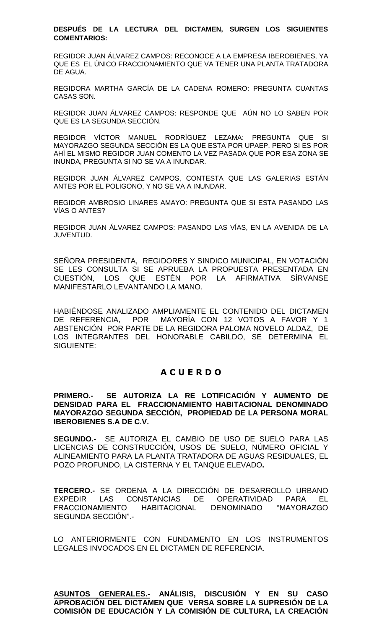**DESPUÉS DE LA LECTURA DEL DICTAMEN, SURGEN LOS SIGUIENTES COMENTARIOS:**

REGIDOR JUAN ÁLVAREZ CAMPOS: RECONOCE A LA EMPRESA IBEROBIENES, YA QUE ES EL ÚNICO FRACCIONAMIENTO QUE VA TENER UNA PLANTA TRATADORA DE AGUA.

REGIDORA MARTHA GARCÍA DE LA CADENA ROMERO: PREGUNTA CUANTAS CASAS SON.

REGIDOR JUAN ÁLVAREZ CAMPOS: RESPONDE QUE AÚN NO LO SABEN POR QUE ES LA SEGUNDA SECCIÓN.

REGIDOR VÍCTOR MANUEL RODRÍGUEZ LEZAMA: PREGUNTA QUE SI MAYORAZGO SEGUNDA SECCIÓN ES LA QUE ESTA POR UPAEP, PERO SI ES POR AHÍ EL MISMO REGIDOR JUAN COMENTO LA VEZ PASADA QUE POR ESA ZONA SE INUNDA, PREGUNTA SI NO SE VA A INUNDAR.

REGIDOR JUAN ÁLVAREZ CAMPOS, CONTESTA QUE LAS GALERIAS ESTÁN ANTES POR EL POLIGONO, Y NO SE VA A INUNDAR.

REGIDOR AMBROSIO LINARES AMAYO: PREGUNTA QUE SI ESTA PASANDO LAS VÍAS O ANTES?

REGIDOR JUAN ÁLVAREZ CAMPOS: PASANDO LAS VÍAS, EN LA AVENIDA DE LA JUVENTUD.

SEÑORA PRESIDENTA, REGIDORES Y SINDICO MUNICIPAL, EN VOTACIÓN SE LES CONSULTA SI SE APRUEBA LA PROPUESTA PRESENTADA EN CUESTIÓN, LOS QUE ESTÉN POR LA AFIRMATIVA SÍRVANSE MANIFESTARLO LEVANTANDO LA MANO.

HABIÉNDOSE ANALIZADO AMPLIAMENTE EL CONTENIDO DEL DICTAMEN DE REFERENCIA, POR MAYORÍA CON 12 VOTOS A FAVOR Y 1 ABSTENCIÓN POR PARTE DE LA REGIDORA PALOMA NOVELO ALDAZ, DE LOS INTEGRANTES DEL HONORABLE CABILDO, SE DETERMINA EL SIGUIENTE:

# **A C U E R D O**

**PRIMERO.- SE AUTORIZA LA RE LOTIFICACIÓN Y AUMENTO DE DENSIDAD PARA EL FRACCIONAMIENTO HABITACIONAL DENOMINADO MAYORAZGO SEGUNDA SECCIÓN, PROPIEDAD DE LA PERSONA MORAL IBEROBIENES S.A DE C.V.** 

**SEGUNDO.-** SE AUTORIZA EL CAMBIO DE USO DE SUELO PARA LAS LICENCIAS DE CONSTRUCCIÓN, USOS DE SUELO, NÚMERO OFICIAL Y ALINEAMIENTO PARA LA PLANTA TRATADORA DE AGUAS RESIDUALES, EL POZO PROFUNDO, LA CISTERNA Y EL TANQUE ELEVADO**.**

**TERCERO.-** SE ORDENA A LA DIRECCIÓN DE DESARROLLO URBANO EXPEDIR LAS CONSTANCIAS DE OPERATIVIDAD PARA EL FRACCIONAMIENTO HABITACIONAL DENOMINADO "MAYORAZGO SEGUNDA SECCIÓN".-

LO ANTERIORMENTE CON FUNDAMENTO EN LOS INSTRUMENTOS LEGALES INVOCADOS EN EL DICTAMEN DE REFERENCIA.

**ASUNTOS GENERALES.- ANÁLISIS, DISCUSIÓN Y EN SU CASO APROBACIÓN DEL DICTAMEN QUE VERSA SOBRE LA SUPRESIÓN DE LA COMISIÓN DE EDUCACIÓN Y LA COMISIÓN DE CULTURA, LA CREACIÓN**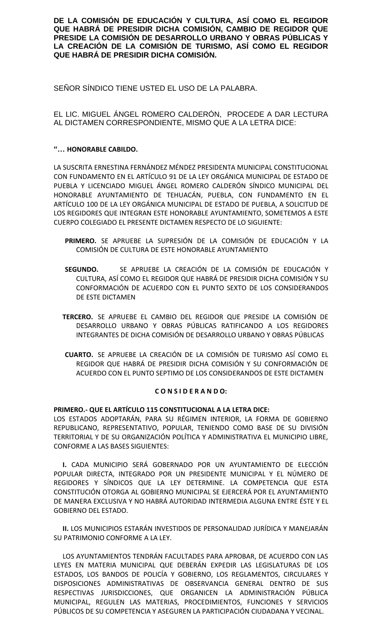**DE LA COMISIÓN DE EDUCACIÓN Y CULTURA, ASÍ COMO EL REGIDOR QUE HABRÁ DE PRESIDIR DICHA COMISIÓN, CAMBIO DE REGIDOR QUE PRESIDE LA COMISIÓN DE DESARROLLO URBANO Y OBRAS PÚBLICAS Y LA CREACIÓN DE LA COMISIÓN DE TURISMO, ASÍ COMO EL REGIDOR QUE HABRÁ DE PRESIDIR DICHA COMISIÓN.**

SEÑOR SÍNDICO TIENE USTED EL USO DE LA PALABRA.

EL LIC. MIGUEL ÁNGEL ROMERO CALDERÓN, PROCEDE A DAR LECTURA AL DICTAMEN CORRESPONDIENTE, MISMO QUE A LA LETRA DICE:

# **"… HONORABLE CABILDO.**

LA SUSCRITA ERNESTINA FERNÁNDEZ MÉNDEZ PRESIDENTA MUNICIPAL CONSTITUCIONAL CON FUNDAMENTO EN EL ARTÍCULO 91 DE LA LEY ORGÁNICA MUNICIPAL DE ESTADO DE PUEBLA Y LICENCIADO MIGUEL ÁNGEL ROMERO CALDERÓN SÍNDICO MUNICIPAL DEL HONORABLE AYUNTAMIENTO DE TEHUACÁN, PUEBLA, CON FUNDAMENTO EN EL ARTÍCULO 100 DE LA LEY ORGÁNICA MUNICIPAL DE ESTADO DE PUEBLA, A SOLICITUD DE LOS REGIDORES QUE INTEGRAN ESTE HONORABLE AYUNTAMIENTO, SOMETEMOS A ESTE CUERPO COLEGIADO EL PRESENTE DICTAMEN RESPECTO DE LO SIGUIENTE:

- **PRIMERO.** SE APRUEBE LA SUPRESIÓN DE LA COMISIÓN DE EDUCACIÓN Y LA COMISIÓN DE CULTURA DE ESTE HONORABLE AYUNTAMIENTO
- **SEGUNDO.** SE APRUEBE LA CREACIÓN DE LA COMISIÓN DE EDUCACIÓN Y CULTURA, ASÍ COMO EL REGIDOR QUE HABRÁ DE PRESIDIR DICHA COMISIÓN Y SU CONFORMACIÓN DE ACUERDO CON EL PUNTO SEXTO DE LOS CONSIDERANDOS DE ESTE DICTAMEN
- **TERCERO.** SE APRUEBE EL CAMBIO DEL REGIDOR QUE PRESIDE LA COMISIÓN DE DESARROLLO URBANO Y OBRAS PÚBLICAS RATIFICANDO A LOS REGIDORES INTEGRANTES DE DICHA COMISIÓN DE DESARROLLO URBANO Y OBRAS PÚBLICAS
- **CUARTO.** SE APRUEBE LA CREACIÓN DE LA COMISIÓN DE TURISMO ASÍ COMO EL REGIDOR QUE HABRÁ DE PRESIDIR DICHA COMISIÓN Y SU CONFORMACIÓN DE ACUERDO CON EL PUNTO SEPTIMO DE LOS CONSIDERANDOS DE ESTE DICTAMEN

## **C O N S I D E R A N D O:**

**PRIMERO.- QUE EL ARTÍCULO 115 CONSTITUCIONAL A LA LETRA DICE:**

LOS ESTADOS ADOPTARÁN, PARA SU RÉGIMEN INTERIOR, LA FORMA DE GOBIERNO REPUBLICANO, REPRESENTATIVO, POPULAR, TENIENDO COMO BASE DE SU DIVISIÓN TERRITORIAL Y DE SU ORGANIZACIÓN POLÍTICA Y ADMINISTRATIVA EL MUNICIPIO LIBRE, CONFORME A LAS BASES SIGUIENTES:

**I.** CADA MUNICIPIO SERÁ GOBERNADO POR UN AYUNTAMIENTO DE ELECCIÓN POPULAR DIRECTA, INTEGRADO POR UN PRESIDENTE MUNICIPAL Y EL NÚMERO DE REGIDORES Y SÍNDICOS QUE LA LEY DETERMINE. LA COMPETENCIA QUE ESTA CONSTITUCIÓN OTORGA AL GOBIERNO MUNICIPAL SE EJERCERÁ POR EL AYUNTAMIENTO DE MANERA EXCLUSIVA Y NO HABRÁ AUTORIDAD INTERMEDIA ALGUNA ENTRE ÉSTE Y EL GOBIERNO DEL ESTADO.

**II.** LOS MUNICIPIOS ESTARÁN INVESTIDOS DE PERSONALIDAD JURÍDICA Y MANEJARÁN SU PATRIMONIO CONFORME A LA LEY.

LOS AYUNTAMIENTOS TENDRÁN FACULTADES PARA APROBAR, DE ACUERDO CON LAS LEYES EN MATERIA MUNICIPAL QUE DEBERÁN EXPEDIR LAS LEGISLATURAS DE LOS ESTADOS, LOS BANDOS DE POLICÍA Y GOBIERNO, LOS REGLAMENTOS, CIRCULARES Y DISPOSICIONES ADMINISTRATIVAS DE OBSERVANCIA GENERAL DENTRO DE SUS RESPECTIVAS JURISDICCIONES, QUE ORGANICEN LA ADMINISTRACIÓN PÚBLICA MUNICIPAL, REGULEN LAS MATERIAS, PROCEDIMIENTOS, FUNCIONES Y SERVICIOS PÚBLICOS DE SU COMPETENCIA Y ASEGUREN LA PARTICIPACIÓN CIUDADANA Y VECINAL.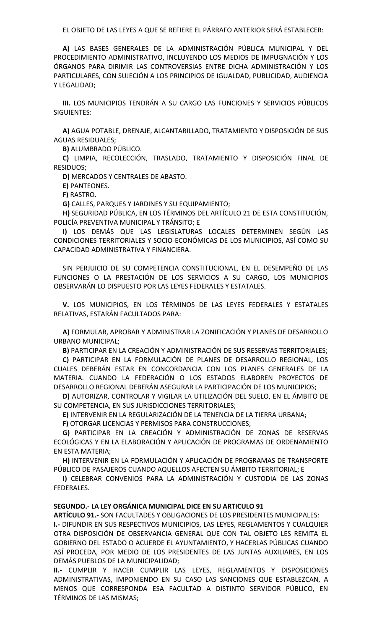EL OBJETO DE LAS LEYES A QUE SE REFIERE EL PÁRRAFO ANTERIOR SERÁ ESTABLECER:

**A)** LAS BASES GENERALES DE LA ADMINISTRACIÓN PÚBLICA MUNICIPAL Y DEL PROCEDIMIENTO ADMINISTRATIVO, INCLUYENDO LOS MEDIOS DE IMPUGNACIÓN Y LOS ÓRGANOS PARA DIRIMIR LAS CONTROVERSIAS ENTRE DICHA ADMINISTRACIÓN Y LOS PARTICULARES, CON SUJECIÓN A LOS PRINCIPIOS DE IGUALDAD, PUBLICIDAD, AUDIENCIA Y LEGALIDAD;

**III.** LOS MUNICIPIOS TENDRÁN A SU CARGO LAS FUNCIONES Y SERVICIOS PÚBLICOS SIGUIENTES:

**A)** AGUA POTABLE, DRENAJE, ALCANTARILLADO, TRATAMIENTO Y DISPOSICIÓN DE SUS AGUAS RESIDUALES;

**B)** ALUMBRADO PÚBLICO.

**C)** LIMPIA, RECOLECCIÓN, TRASLADO, TRATAMIENTO Y DISPOSICIÓN FINAL DE RESIDUOS;

**D)** MERCADOS Y CENTRALES DE ABASTO.

**E)** PANTEONES.

**F)** RASTRO.

**G)** CALLES, PARQUES Y JARDINES Y SU EQUIPAMIENTO;

**H)** SEGURIDAD PÚBLICA, EN LOS TÉRMINOS DEL ARTÍCULO 21 DE ESTA CONSTITUCIÓN, POLICÍA PREVENTIVA MUNICIPAL Y TRÁNSITO; E

**I)** LOS DEMÁS QUE LAS LEGISLATURAS LOCALES DETERMINEN SEGÚN LAS CONDICIONES TERRITORIALES Y SOCIO-ECONÓMICAS DE LOS MUNICIPIOS, ASÍ COMO SU CAPACIDAD ADMINISTRATIVA Y FINANCIERA.

SIN PERJUICIO DE SU COMPETENCIA CONSTITUCIONAL, EN EL DESEMPEÑO DE LAS FUNCIONES O LA PRESTACIÓN DE LOS SERVICIOS A SU CARGO, LOS MUNICIPIOS OBSERVARÁN LO DISPUESTO POR LAS LEYES FEDERALES Y ESTATALES.

**V.** LOS MUNICIPIOS, EN LOS TÉRMINOS DE LAS LEYES FEDERALES Y ESTATALES RELATIVAS, ESTARÁN FACULTADOS PARA:

**A)** FORMULAR, APROBAR Y ADMINISTRAR LA ZONIFICACIÓN Y PLANES DE DESARROLLO URBANO MUNICIPAL;

**B)** PARTICIPAR EN LA CREACIÓN Y ADMINISTRACIÓN DE SUS RESERVAS TERRITORIALES;

**C)** PARTICIPAR EN LA FORMULACIÓN DE PLANES DE DESARROLLO REGIONAL, LOS CUALES DEBERÁN ESTAR EN CONCORDANCIA CON LOS PLANES GENERALES DE LA MATERIA. CUANDO LA FEDERACIÓN O LOS ESTADOS ELABOREN PROYECTOS DE DESARROLLO REGIONAL DEBERÁN ASEGURAR LA PARTICIPACIÓN DE LOS MUNICIPIOS;

**D)** AUTORIZAR, CONTROLAR Y VIGILAR LA UTILIZACIÓN DEL SUELO, EN EL ÁMBITO DE SU COMPETENCIA, EN SUS JURISDICCIONES TERRITORIALES;

**E)** INTERVENIR EN LA REGULARIZACIÓN DE LA TENENCIA DE LA TIERRA URBANA;

**F)** OTORGAR LICENCIAS Y PERMISOS PARA CONSTRUCCIONES;

**G)** PARTICIPAR EN LA CREACIÓN Y ADMINISTRACIÓN DE ZONAS DE RESERVAS ECOLÓGICAS Y EN LA ELABORACIÓN Y APLICACIÓN DE PROGRAMAS DE ORDENAMIENTO EN ESTA MATERIA;

**H)** INTERVENIR EN LA FORMULACIÓN Y APLICACIÓN DE PROGRAMAS DE TRANSPORTE PÚBLICO DE PASAJEROS CUANDO AQUELLOS AFECTEN SU ÁMBITO TERRITORIAL; E

**I)** CELEBRAR CONVENIOS PARA LA ADMINISTRACIÓN Y CUSTODIA DE LAS ZONAS FEDERALES.

#### **SEGUNDO.- LA LEY ORGÁNICA MUNICIPAL DICE EN SU ARTICULO 91**

**ARTÍCULO 91.-** SON FACULTADES Y OBLIGACIONES DE LOS PRESIDENTES MUNICIPALES: **I.-** DIFUNDIR EN SUS RESPECTIVOS MUNICIPIOS, LAS LEYES, REGLAMENTOS Y CUALQUIER OTRA DISPOSICIÓN DE OBSERVANCIA GENERAL QUE CON TAL OBJETO LES REMITA EL GOBIERNO DEL ESTADO O ACUERDE EL AYUNTAMIENTO, Y HACERLAS PÚBLICAS CUANDO ASÍ PROCEDA, POR MEDIO DE LOS PRESIDENTES DE LAS JUNTAS AUXILIARES, EN LOS DEMÁS PUEBLOS DE LA MUNICIPALIDAD;

**II.-** CUMPLIR Y HACER CUMPLIR LAS LEYES, REGLAMENTOS Y DISPOSICIONES ADMINISTRATIVAS, IMPONIENDO EN SU CASO LAS SANCIONES QUE ESTABLEZCAN, A MENOS QUE CORRESPONDA ESA FACULTAD A DISTINTO SERVIDOR PÚBLICO, EN TÉRMINOS DE LAS MISMAS;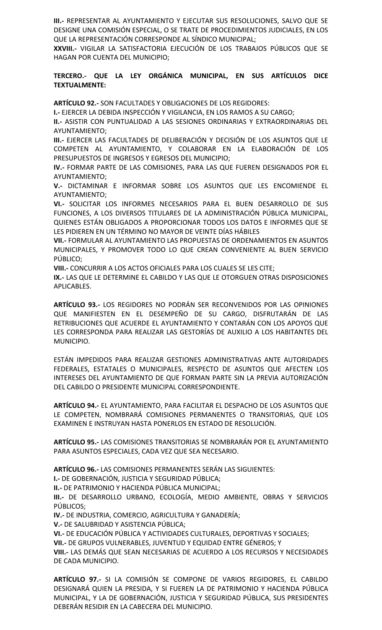**III.-** REPRESENTAR AL AYUNTAMIENTO Y EJECUTAR SUS RESOLUCIONES, SALVO QUE SE DESIGNE UNA COMISIÓN ESPECIAL, O SE TRATE DE PROCEDIMIENTOS JUDICIALES, EN LOS QUE LA REPRESENTACIÓN CORRESPONDE AL SÍNDICO MUNICIPAL;

**XXVIII.-** VIGILAR LA SATISFACTORIA EJECUCIÓN DE LOS TRABAJOS PÚBLICOS QUE SE HAGAN POR CUENTA DEL MUNICIPIO;

# **TERCERO.- QUE LA LEY ORGÁNICA MUNICIPAL, EN SUS ARTÍCULOS DICE TEXTUALMENTE:**

**ARTÍCULO 92.-** SON FACULTADES Y OBLIGACIONES DE LOS REGIDORES:

**I.-** EJERCER LA DEBIDA INSPECCIÓN Y VIGILANCIA, EN LOS RAMOS A SU CARGO;

**II.-** ASISTIR CON PUNTUALIDAD A LAS SESIONES ORDINARIAS Y EXTRAORDINARIAS DEL AYUNTAMIENTO;

**III.-** EJERCER LAS FACULTADES DE DELIBERACIÓN Y DECISIÓN DE LOS ASUNTOS QUE LE COMPETEN AL AYUNTAMIENTO, Y COLABORAR EN LA ELABORACIÓN DE LOS PRESUPUESTOS DE INGRESOS Y EGRESOS DEL MUNICIPIO;

**IV.-** FORMAR PARTE DE LAS COMISIONES, PARA LAS QUE FUEREN DESIGNADOS POR EL AYUNTAMIENTO;

**V.-** DICTAMINAR E INFORMAR SOBRE LOS ASUNTOS QUE LES ENCOMIENDE EL AYUNTAMIENTO;

**VI.-** SOLICITAR LOS INFORMES NECESARIOS PARA EL BUEN DESARROLLO DE SUS FUNCIONES, A LOS DIVERSOS TITULARES DE LA ADMINISTRACIÓN PÚBLICA MUNICIPAL, QUIENES ESTÁN OBLIGADOS A PROPORCIONAR TODOS LOS DATOS E INFORMES QUE SE LES PIDIEREN EN UN TÉRMINO NO MAYOR DE VEINTE DÍAS HÁBILES

**VII.-** FORMULAR AL AYUNTAMIENTO LAS PROPUESTAS DE ORDENAMIENTOS EN ASUNTOS MUNICIPALES, Y PROMOVER TODO LO QUE CREAN CONVENIENTE AL BUEN SERVICIO PÚBLICO;

**VIII.-** CONCURRIR A LOS ACTOS OFICIALES PARA LOS CUALES SE LES CITE;

**IX.-** LAS QUE LE DETERMINE EL CABILDO Y LAS QUE LE OTORGUEN OTRAS DISPOSICIONES APLICABLES.

**ARTÍCULO 93.-** LOS REGIDORES NO PODRÁN SER RECONVENIDOS POR LAS OPINIONES QUE MANIFIESTEN EN EL DESEMPEÑO DE SU CARGO, DISFRUTARÁN DE LAS RETRIBUCIONES QUE ACUERDE EL AYUNTAMIENTO Y CONTARÁN CON LOS APOYOS QUE LES CORRESPONDA PARA REALIZAR LAS GESTORÍAS DE AUXILIO A LOS HABITANTES DEL MUNICIPIO.

ESTÁN IMPEDIDOS PARA REALIZAR GESTIONES ADMINISTRATIVAS ANTE AUTORIDADES FEDERALES, ESTATALES O MUNICIPALES, RESPECTO DE ASUNTOS QUE AFECTEN LOS INTERESES DEL AYUNTAMIENTO DE QUE FORMAN PARTE SIN LA PREVIA AUTORIZACIÓN DEL CABILDO O PRESIDENTE MUNICIPAL CORRESPONDIENTE.

**ARTÍCULO 94.-** EL AYUNTAMIENTO, PARA FACILITAR EL DESPACHO DE LOS ASUNTOS QUE LE COMPETEN, NOMBRARÁ COMISIONES PERMANENTES O TRANSITORIAS, QUE LOS EXAMINEN E INSTRUYAN HASTA PONERLOS EN ESTADO DE RESOLUCIÓN.

**ARTÍCULO 95.-** LAS COMISIONES TRANSITORIAS SE NOMBRARÁN POR EL AYUNTAMIENTO PARA ASUNTOS ESPECIALES, CADA VEZ QUE SEA NECESARIO.

**ARTÍCULO 96.-** LAS COMISIONES PERMANENTES SERÁN LAS SIGUIENTES:

**I.-** DE GOBERNACIÓN, JUSTICIA Y SEGURIDAD PÚBLICA;

**II.-** DE PATRIMONIO Y HACIENDA PÚBLICA MUNICIPAL;

**III.-** DE DESARROLLO URBANO, ECOLOGÍA, MEDIO AMBIENTE, OBRAS Y SERVICIOS PÚBLICOS;

**IV.-** DE INDUSTRIA, COMERCIO, AGRICULTURA Y GANADERÍA;

**V.-** DE SALUBRIDAD Y ASISTENCIA PÚBLICA;

**VI.-** DE EDUCACIÓN PÚBLICA Y ACTIVIDADES CULTURALES, DEPORTIVAS Y SOCIALES;

**VII.-** DE GRUPOS VULNERABLES, JUVENTUD Y EQUIDAD ENTRE GÉNEROS; Y

**VIII.-** LAS DEMÁS QUE SEAN NECESARIAS DE ACUERDO A LOS RECURSOS Y NECESIDADES DE CADA MUNICIPIO.

**ARTÍCULO 97.-** SI LA COMISIÓN SE COMPONE DE VARIOS REGIDORES, EL CABILDO DESIGNARÁ QUIEN LA PRESIDA, Y SI FUEREN LA DE PATRIMONIO Y HACIENDA PÚBLICA MUNICIPAL, Y LA DE GOBERNACIÓN, JUSTICIA Y SEGURIDAD PÚBLICA, SUS PRESIDENTES DEBERÁN RESIDIR EN LA CABECERA DEL MUNICIPIO.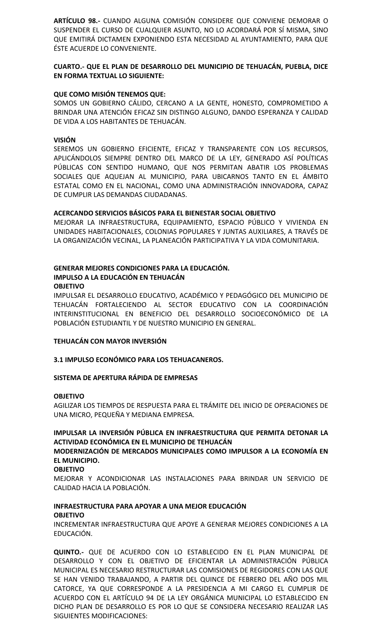**ARTÍCULO 98.-** CUANDO ALGUNA COMISIÓN CONSIDERE QUE CONVIENE DEMORAR O SUSPENDER EL CURSO DE CUALQUIER ASUNTO, NO LO ACORDARÁ POR SÍ MISMA, SINO QUE EMITIRÁ DICTAMEN EXPONIENDO ESTA NECESIDAD AL AYUNTAMIENTO, PARA QUE ÉSTE ACUERDE LO CONVENIENTE.

## **CUARTO.- QUE EL PLAN DE DESARROLLO DEL MUNICIPIO DE TEHUACÁN, PUEBLA, DICE EN FORMA TEXTUAL LO SIGUIENTE:**

## **QUE COMO MISIÓN TENEMOS QUE:**

SOMOS UN GOBIERNO CÁLIDO, CERCANO A LA GENTE, HONESTO, COMPROMETIDO A BRINDAR UNA ATENCIÓN EFICAZ SIN DISTINGO ALGUNO, DANDO ESPERANZA Y CALIDAD DE VIDA A LOS HABITANTES DE TEHUACÁN.

#### **VISIÓN**

SEREMOS UN GOBIERNO EFICIENTE, EFICAZ Y TRANSPARENTE CON LOS RECURSOS, APLICÁNDOLOS SIEMPRE DENTRO DEL MARCO DE LA LEY, GENERADO ASÍ POLÍTICAS PÚBLICAS CON SENTIDO HUMANO, QUE NOS PERMITAN ABATIR LOS PROBLEMAS SOCIALES QUE AQUEJAN AL MUNICIPIO, PARA UBICARNOS TANTO EN EL ÁMBITO ESTATAL COMO EN EL NACIONAL, COMO UNA ADMINISTRACIÓN INNOVADORA, CAPAZ DE CUMPLIR LAS DEMANDAS CIUDADANAS.

#### **ACERCANDO SERVICIOS BÁSICOS PARA EL BIENESTAR SOCIAL OBJETIVO**

MEJORAR LA INFRAESTRUCTURA, EQUIPAMIENTO, ESPACIO PÚBLICO Y VIVIENDA EN UNIDADES HABITACIONALES, COLONIAS POPULARES Y JUNTAS AUXILIARES, A TRAVÉS DE LA ORGANIZACIÓN VECINAL, LA PLANEACIÓN PARTICIPATIVA Y LA VIDA COMUNITARIA.

#### **GENERAR MEJORES CONDICIONES PARA LA EDUCACIÓN. IMPULSO A LA EDUCACIÓN EN TEHUACÁN OBJETIVO**

IMPULSAR EL DESARROLLO EDUCATIVO, ACADÉMICO Y PEDAGÓGICO DEL MUNICIPIO DE TEHUACÁN FORTALECIENDO AL SECTOR EDUCATIVO CON LA COORDINACIÓN INTERINSTITUCIONAL EN BENEFICIO DEL DESARROLLO SOCIOECONÓMICO DE LA POBLACIÓN ESTUDIANTIL Y DE NUESTRO MUNICIPIO EN GENERAL.

## **TEHUACÁN CON MAYOR INVERSIÓN**

## **3.1 IMPULSO ECONÓMICO PARA LOS TEHUACANEROS.**

## **SISTEMA DE APERTURA RÁPIDA DE EMPRESAS**

#### **OBJETIVO**

AGILIZAR LOS TIEMPOS DE RESPUESTA PARA EL TRÁMITE DEL INICIO DE OPERACIONES DE UNA MICRO, PEQUEÑA Y MEDIANA EMPRESA.

# **IMPULSAR LA INVERSIÓN PÚBLICA EN INFRAESTRUCTURA QUE PERMITA DETONAR LA ACTIVIDAD ECONÓMICA EN EL MUNICIPIO DE TEHUACÁN**

**MODERNIZACIÓN DE MERCADOS MUNICIPALES COMO IMPULSOR A LA ECONOMÍA EN EL MUNICIPIO.**

#### **OBJETIVO**

MEJORAR Y ACONDICIONAR LAS INSTALACIONES PARA BRINDAR UN SERVICIO DE CALIDAD HACIA LA POBLACIÓN.

## **INFRAESTRUCTURA PARA APOYAR A UNA MEJOR EDUCACIÓN OBJETIVO**

INCREMENTAR INFRAESTRUCTURA QUE APOYE A GENERAR MEJORES CONDICIONES A LA EDUCACIÓN.

**QUINTO.-** QUE DE ACUERDO CON LO ESTABLECIDO EN EL PLAN MUNICIPAL DE DESARROLLO Y CON EL OBJETIVO DE EFICIENTAR LA ADMINISTRACIÓN PÚBLICA MUNICIPAL ES NECESARIO RESTRUCTURAR LAS COMISIONES DE REGIDORES CON LAS QUE SE HAN VENIDO TRABAJANDO, A PARTIR DEL QUINCE DE FEBRERO DEL AÑO DOS MIL CATORCE, YA QUE CORRESPONDE A LA PRESIDENCIA A MI CARGO EL CUMPLIR DE ACUERDO CON EL ARTÍCULO 94 DE LA LEY ORGÁNICA MUNICIPAL LO ESTABLECIDO EN DICHO PLAN DE DESARROLLO ES POR LO QUE SE CONSIDERA NECESARIO REALIZAR LAS SIGUIENTES MODIFICACIONES: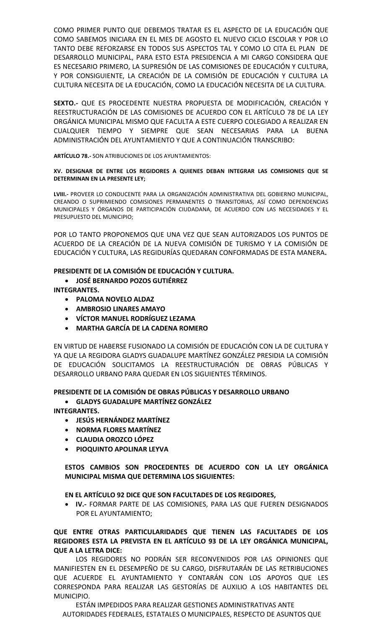COMO PRIMER PUNTO QUE DEBEMOS TRATAR ES EL ASPECTO DE LA EDUCACIÓN QUE COMO SABEMOS INICIARA EN EL MES DE AGOSTO EL NUEVO CICLO ESCOLAR Y POR LO TANTO DEBE REFORZARSE EN TODOS SUS ASPECTOS TAL Y COMO LO CITA EL PLAN DE DESARROLLO MUNICIPAL, PARA ESTO ESTA PRESIDENCIA A MI CARGO CONSIDERA QUE ES NECESARIO PRIMERO, LA SUPRESIÓN DE LAS COMISIONES DE EDUCACIÓN Y CULTURA, Y POR CONSIGUIENTE, LA CREACIÓN DE LA COMISIÓN DE EDUCACIÓN Y CULTURA LA CULTURA NECESITA DE LA EDUCACIÓN, COMO LA EDUCACIÓN NECESITA DE LA CULTURA.

**SEXTO.-** QUE ES PROCEDENTE NUESTRA PROPUESTA DE MODIFICACIÓN, CREACIÓN Y REESTRUCTURACIÓN DE LAS COMISIONES DE ACUERDO CON EL ARTÍCULO 78 DE LA LEY ORGÁNICA MUNICIPAL MISMO QUE FACULTA A ESTE CUERPO COLEGIADO A REALIZAR EN CUALQUIER TIEMPO Y SIEMPRE QUE SEAN NECESARIAS PARA LA BUENA ADMINISTRACIÓN DEL AYUNTAMIENTO Y QUE A CONTINUACIÓN TRANSCRIBO:

**ARTÍCULO 78.-** SON ATRIBUCIONES DE LOS AYUNTAMIENTOS:

#### **XV. DESIGNAR DE ENTRE LOS REGIDORES A QUIENES DEBAN INTEGRAR LAS COMISIONES QUE SE DETERMINAN EN LA PRESENTE LEY;**

**LVIII.-** PROVEER LO CONDUCENTE PARA LA ORGANIZACIÓN ADMINISTRATIVA DEL GOBIERNO MUNICIPAL, CREANDO O SUPRIMIENDO COMISIONES PERMANENTES O TRANSITORIAS, ASÍ COMO DEPENDENCIAS MUNICIPALES Y ÓRGANOS DE PARTICIPACIÓN CIUDADANA, DE ACUERDO CON LAS NECESIDADES Y EL PRESUPUESTO DEL MUNICIPIO;

POR LO TANTO PROPONEMOS QUE UNA VEZ QUE SEAN AUTORIZADOS LOS PUNTOS DE ACUERDO DE LA CREACIÓN DE LA NUEVA COMISIÓN DE TURISMO Y LA COMISIÓN DE EDUCACIÓN Y CULTURA, LAS REGIDURÍAS QUEDARAN CONFORMADAS DE ESTA MANERA**.**

# **PRESIDENTE DE LA COMISIÓN DE EDUCACIÓN Y CULTURA.**

**JOSÉ BERNARDO POZOS GUTIÉRREZ**

**INTEGRANTES.**

- **PALOMA NOVELO ALDAZ**
- **AMBROSIO LINARES AMAYO**
- **VÍCTOR MANUEL RODRÍGUEZ LEZAMA**
- **MARTHA GARCÍA DE LA CADENA ROMERO**

EN VIRTUD DE HABERSE FUSIONADO LA COMISIÓN DE EDUCACIÓN CON LA DE CULTURA Y YA QUE LA REGIDORA GLADYS GUADALUPE MARTÍNEZ GONZÁLEZ PRESIDIA LA COMISIÓN DE EDUCACIÓN SOLICITAMOS LA REESTRUCTURACIÓN DE OBRAS PÚBLICAS Y DESARROLLO URBANO PARA QUEDAR EN LOS SIGUIENTES TÉRMINOS.

## **PRESIDENTE DE LA COMISIÓN DE OBRAS PÚBLICAS Y DESARROLLO URBANO**

- **GLADYS GUADALUPE MARTÍNEZ GONZÁLEZ**
- **INTEGRANTES.**
	- **JESÚS HERNÁNDEZ MARTÍNEZ**
	- **NORMA FLORES MARTÍNEZ**
	- **CLAUDIA OROZCO LÓPEZ**
	- **PIOQUINTO APOLINAR LEYVA**

**ESTOS CAMBIOS SON PROCEDENTES DE ACUERDO CON LA LEY ORGÁNICA MUNICIPAL MISMA QUE DETERMINA LOS SIGUIENTES:**

**EN EL ARTÍCULO 92 DICE QUE SON FACULTADES DE LOS REGIDORES,** 

 **IV.-** FORMAR PARTE DE LAS COMISIONES, PARA LAS QUE FUEREN DESIGNADOS POR EL AYUNTAMIENTO;

## **QUE ENTRE OTRAS PARTICULARIDADES QUE TIENEN LAS FACULTADES DE LOS REGIDORES ESTA LA PREVISTA EN EL ARTÍCULO 93 DE LA LEY ORGÁNICA MUNICIPAL, QUE A LA LETRA DICE:**

LOS REGIDORES NO PODRÁN SER RECONVENIDOS POR LAS OPINIONES QUE MANIFIESTEN EN EL DESEMPEÑO DE SU CARGO, DISFRUTARÁN DE LAS RETRIBUCIONES QUE ACUERDE EL AYUNTAMIENTO Y CONTARÁN CON LOS APOYOS QUE LES CORRESPONDA PARA REALIZAR LAS GESTORÍAS DE AUXILIO A LOS HABITANTES DEL MUNICIPIO.

ESTÁN IMPEDIDOS PARA REALIZAR GESTIONES ADMINISTRATIVAS ANTE AUTORIDADES FEDERALES, ESTATALES O MUNICIPALES, RESPECTO DE ASUNTOS QUE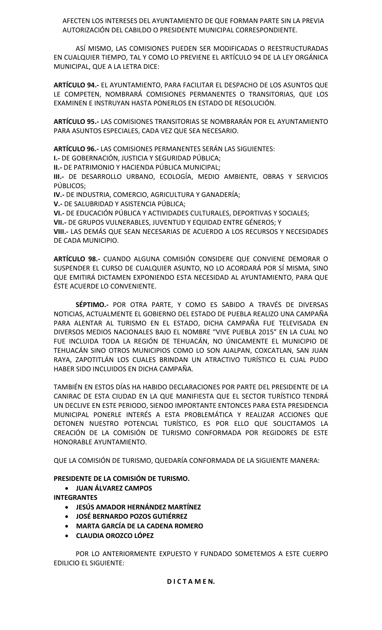AFECTEN LOS INTERESES DEL AYUNTAMIENTO DE QUE FORMAN PARTE SIN LA PREVIA AUTORIZACIÓN DEL CABILDO O PRESIDENTE MUNICIPAL CORRESPONDIENTE.

ASÍ MISMO, LAS COMISIONES PUEDEN SER MODIFICADAS O REESTRUCTURADAS EN CUALQUIER TIEMPO, TAL Y COMO LO PREVIENE EL ARTÍCULO 94 DE LA LEY ORGÁNICA MUNICIPAL, QUE A LA LETRA DICE:

**ARTÍCULO 94.-** EL AYUNTAMIENTO, PARA FACILITAR EL DESPACHO DE LOS ASUNTOS QUE LE COMPETEN, NOMBRARÁ COMISIONES PERMANENTES O TRANSITORIAS, QUE LOS EXAMINEN E INSTRUYAN HASTA PONERLOS EN ESTADO DE RESOLUCIÓN.

**ARTÍCULO 95.-** LAS COMISIONES TRANSITORIAS SE NOMBRARÁN POR EL AYUNTAMIENTO PARA ASUNTOS ESPECIALES, CADA VEZ QUE SEA NECESARIO.

**ARTÍCULO 96.-** LAS COMISIONES PERMANENTES SERÁN LAS SIGUIENTES:

**I.-** DE GOBERNACIÓN, JUSTICIA Y SEGURIDAD PÚBLICA;

**II.-** DE PATRIMONIO Y HACIENDA PÚBLICA MUNICIPAL;

**III.-** DE DESARROLLO URBANO, ECOLOGÍA, MEDIO AMBIENTE, OBRAS Y SERVICIOS PÚBLICOS;

**IV.-** DE INDUSTRIA, COMERCIO, AGRICULTURA Y GANADERÍA;

**V.-** DE SALUBRIDAD Y ASISTENCIA PÚBLICA;

**VI.-** DE EDUCACIÓN PÚBLICA Y ACTIVIDADES CULTURALES, DEPORTIVAS Y SOCIALES;

**VII.-** DE GRUPOS VULNERABLES, JUVENTUD Y EQUIDAD ENTRE GÉNEROS; Y

**VIII.-** LAS DEMÁS QUE SEAN NECESARIAS DE ACUERDO A LOS RECURSOS Y NECESIDADES DE CADA MUNICIPIO.

**ARTÍCULO 98.-** CUANDO ALGUNA COMISIÓN CONSIDERE QUE CONVIENE DEMORAR O SUSPENDER EL CURSO DE CUALQUIER ASUNTO, NO LO ACORDARÁ POR SÍ MISMA, SINO QUE EMITIRÁ DICTAMEN EXPONIENDO ESTA NECESIDAD AL AYUNTAMIENTO, PARA QUE ÉSTE ACUERDE LO CONVENIENTE.

**SÉPTIMO.-** POR OTRA PARTE, Y COMO ES SABIDO A TRAVÉS DE DIVERSAS NOTICIAS, ACTUALMENTE EL GOBIERNO DEL ESTADO DE PUEBLA REALIZO UNA CAMPAÑA PARA ALENTAR AL TURISMO EN EL ESTADO, DICHA CAMPAÑA FUE TELEVISADA EN DIVERSOS MEDIOS NACIONALES BAJO EL NOMBRE "VIVE PUEBLA 2015" EN LA CUAL NO FUE INCLUIDA TODA LA REGIÓN DE TEHUACÁN, NO ÚNICAMENTE EL MUNICIPIO DE TEHUACÁN SINO OTROS MUNICIPIOS COMO LO SON AJALPAN, COXCATLAN, SAN JUAN RAYA, ZAPOTITLÁN LOS CUALES BRINDAN UN ATRACTIVO TURÍSTICO EL CUAL PUDO HABER SIDO INCLUIDOS EN DICHA CAMPAÑA.

TAMBIÉN EN ESTOS DÍAS HA HABIDO DECLARACIONES POR PARTE DEL PRESIDENTE DE LA CANIRAC DE ESTA CIUDAD EN LA QUE MANIFIESTA QUE EL SECTOR TURÍSTICO TENDRÁ UN DECLIVE EN ESTE PERIODO, SIENDO IMPORTANTE ENTONCES PARA ESTA PRESIDENCIA MUNICIPAL PONERLE INTERÉS A ESTA PROBLEMÁTICA Y REALIZAR ACCIONES QUE DETONEN NUESTRO POTENCIAL TURÍSTICO, ES POR ELLO QUE SOLICITAMOS LA CREACIÓN DE LA COMISIÓN DE TURISMO CONFORMADA POR REGIDORES DE ESTE HONORABLE AYUNTAMIENTO.

QUE LA COMISIÓN DE TURISMO, QUEDARÍA CONFORMADA DE LA SIGUIENTE MANERA:

# **PRESIDENTE DE LA COMISIÓN DE TURISMO.**

**JUAN ÁLVAREZ CAMPOS** 

**INTEGRANTES**

- **JESÚS AMADOR HERNÁNDEZ MARTÍNEZ**
- **JOSÉ BERNARDO POZOS GUTIÉRREZ**
- **MARTA GARCÍA DE LA CADENA ROMERO**
- **CLAUDIA OROZCO LÓPEZ**

POR LO ANTERIORMENTE EXPUESTO Y FUNDADO SOMETEMOS A ESTE CUERPO EDILICIO EL SIGUIENTE:

## **D I C T A M E N.**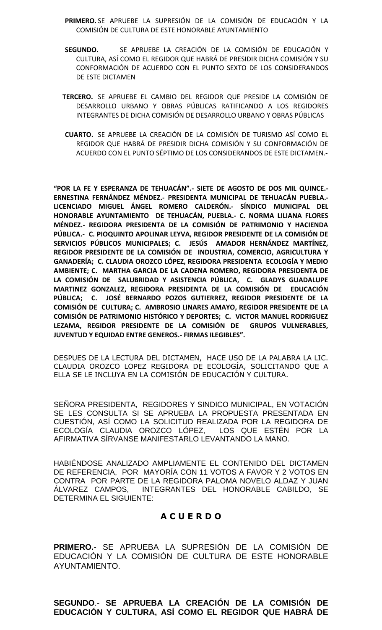- **PRIMERO.** SE APRUEBE LA SUPRESIÓN DE LA COMISIÓN DE EDUCACIÓN Y LA COMISIÓN DE CULTURA DE ESTE HONORABLE AYUNTAMIENTO
- **SEGUNDO.** SE APRUEBE LA CREACIÓN DE LA COMISIÓN DE EDUCACIÓN Y CULTURA, ASÍ COMO EL REGIDOR QUE HABRÁ DE PRESIDIR DICHA COMISIÓN Y SU CONFORMACIÓN DE ACUERDO CON EL PUNTO SEXTO DE LOS CONSIDERANDOS DE ESTE DICTAMEN
- **TERCERO.** SE APRUEBE EL CAMBIO DEL REGIDOR QUE PRESIDE LA COMISIÓN DE DESARROLLO URBANO Y OBRAS PÚBLICAS RATIFICANDO A LOS REGIDORES INTEGRANTES DE DICHA COMISIÓN DE DESARROLLO URBANO Y OBRAS PÚBLICAS
- **CUARTO.** SE APRUEBE LA CREACIÓN DE LA COMISIÓN DE TURISMO ASÍ COMO EL REGIDOR QUE HABRÁ DE PRESIDIR DICHA COMISIÓN Y SU CONFORMACIÓN DE ACUERDO CON EL PUNTO SÉPTIMO DE LOS CONSIDERANDOS DE ESTE DICTAMEN.-

**"POR LA FE Y ESPERANZA DE TEHUACÁN".- SIETE DE AGOSTO DE DOS MIL QUINCE.- ERNESTINA FERNÁNDEZ MÉNDEZ.- PRESIDENTA MUNICIPAL DE TEHUACÁN PUEBLA.- LICENCIADO MIGUEL ÁNGEL ROMERO CALDERÓN.- SÍNDICO MUNICIPAL DEL HONORABLE AYUNTAMIENTO DE TEHUACÁN, PUEBLA.- C. NORMA LILIANA FLORES MÉNDEZ.- REGIDORA PRESIDENTA DE LA COMISIÓN DE PATRIMONIO Y HACIENDA PÚBLICA.- C. PIOQUINTO APOLINAR LEYVA, REGIDOR PRESIDENTE DE LA COMISIÓN DE SERVICIOS PÚBLICOS MUNICIPALES; C. JESÚS AMADOR HERNÁNDEZ MARTÍNEZ, REGIDOR PRESIDENTE DE LA COMISIÓN DE INDUSTRIA, COMERCIO, AGRICULTURA Y GANADERÍA; C. CLAUDIA OROZCO LÓPEZ, REGIDORA PRESIDENTA ECOLOGÍA Y MEDIO AMBIENTE; C. MARTHA GARCIA DE LA CADENA ROMERO, REGIDORA PRESIDENTA DE LA COMISIÓN DE SALUBRIDAD Y ASISTENCIA PÚBLICA, C. GLADYS GUADALUPE MARTINEZ GONZALEZ, REGIDORA PRESIDENTA DE LA COMISIÓN DE EDUCACIÓN PÚBLICA; C. JOSÉ BERNARDO POZOS GUTIERREZ, REGIDOR PRESIDENTE DE LA COMISIÓN DE CULTURA; C. AMBROSIO LINARES AMAYO, REGIDOR PRESIDENTE DE LA COMISIÓN DE PATRIMONIO HISTÓRICO Y DEPORTES; C. VICTOR MANUEL RODRIGUEZ LEZAMA, REGIDOR PRESIDENTE DE LA COMISIÓN DE GRUPOS VULNERABLES, JUVENTUD Y EQUIDAD ENTRE GENEROS.- FIRMAS ILEGIBLES".**

DESPUES DE LA LECTURA DEL DICTAMEN, HACE USO DE LA PALABRA LA LIC. CLAUDIA OROZCO LOPEZ REGIDORA DE ECOLOGÍA, SOLICITANDO QUE A ELLA SE LE INCLUYA EN LA COMISIÓN DE EDUCACIÓN Y CULTURA.

SEÑORA PRESIDENTA, REGIDORES Y SINDICO MUNICIPAL, EN VOTACIÓN SE LES CONSULTA SI SE APRUEBA LA PROPUESTA PRESENTADA EN CUESTIÓN, ASÍ COMO LA SOLICITUD REALIZADA POR LA REGIDORA DE ECOLOGÍA CLAUDIA OROZCO LÓPEZ, LOS QUE ESTÉN POR LA AFIRMATIVA SÍRVANSE MANIFESTARLO LEVANTANDO LA MANO.

HABIÉNDOSE ANALIZADO AMPLIAMENTE EL CONTENIDO DEL DICTAMEN DE REFERENCIA, POR MAYORÍA CON 11 VOTOS A FAVOR Y 2 VOTOS EN CONTRA POR PARTE DE LA REGIDORA PALOMA NOVELO ALDAZ Y JUAN ÁLVAREZ CAMPOS, INTEGRANTES DEL HONORABLE CABILDO, SE DETERMINA EL SIGUIENTE:

# **A C U E R D O**

**PRIMERO.**- SE APRUEBA LA SUPRESIÓN DE LA COMISIÓN DE EDUCACIÓN Y LA COMISIÓN DE CULTURA DE ESTE HONORABLE AYUNTAMIENTO.

**SEGUNDO**.- **SE APRUEBA LA CREACIÓN DE LA COMISIÓN DE EDUCACIÓN Y CULTURA, ASÍ COMO EL REGIDOR QUE HABRÁ DE**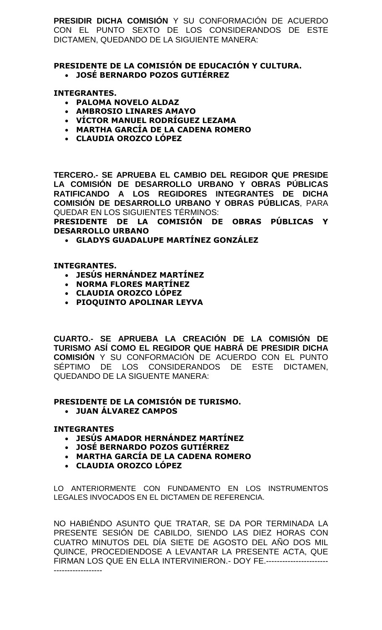**PRESIDIR DICHA COMISIÓN** Y SU CONFORMACIÓN DE ACUERDO CON EL PUNTO SEXTO DE LOS CONSIDERANDOS DE ESTE DICTAMEN, QUEDANDO DE LA SIGUIENTE MANERA:

# **PRESIDENTE DE LA COMISIÓN DE EDUCACIÓN Y CULTURA. JOSÉ BERNARDO POZOS GUTIÉRREZ**

# **INTEGRANTES.**

- **PALOMA NOVELO ALDAZ**
- **AMBROSIO LINARES AMAYO**
- **VÍCTOR MANUEL RODRÍGUEZ LEZAMA**
- **MARTHA GARCÍA DE LA CADENA ROMERO**
- **CLAUDIA OROZCO LÓPEZ**

**TERCERO.- SE APRUEBA EL CAMBIO DEL REGIDOR QUE PRESIDE LA COMISIÓN DE DESARROLLO URBANO Y OBRAS PÚBLICAS RATIFICANDO A LOS REGIDORES INTEGRANTES DE DICHA COMISIÓN DE DESARROLLO URBANO Y OBRAS PÚBLICAS**, PARA QUEDAR EN LOS SIGUIENTES TÉRMINOS:

**PRESIDENTE DE LA COMISIÓN DE OBRAS PÚBLICAS Y DESARROLLO URBANO** 

**GLADYS GUADALUPE MARTÍNEZ GONZÁLEZ**

## **INTEGRANTES.**

- **JESÚS HERNÁNDEZ MARTÍNEZ**
- **NORMA FLORES MARTÍNEZ**
- **CLAUDIA OROZCO LÓPEZ**
- **PIOQUINTO APOLINAR LEYVA**

**CUARTO.- SE APRUEBA LA CREACIÓN DE LA COMISIÓN DE TURISMO ASÍ COMO EL REGIDOR QUE HABRÁ DE PRESIDIR DICHA COMISIÓN** Y SU CONFORMACIÓN DE ACUERDO CON EL PUNTO SÉPTIMO DE LOS CONSIDERANDOS DE ESTE DICTAMEN, QUEDANDO DE LA SIGUENTE MANERA:

# **PRESIDENTE DE LA COMISIÓN DE TURISMO.**

**JUAN ÁLVAREZ CAMPOS** 

## **INTEGRANTES**

- **JESÚS AMADOR HERNÁNDEZ MARTÍNEZ**
- **JOSÉ BERNARDO POZOS GUTIÉRREZ**
- **MARTHA GARCÍA DE LA CADENA ROMERO**
- **CLAUDIA OROZCO LÓPEZ**

LO ANTERIORMENTE CON FUNDAMENTO EN LOS INSTRUMENTOS LEGALES INVOCADOS EN EL DICTAMEN DE REFERENCIA.

NO HABIÉNDO ASUNTO QUE TRATAR, SE DA POR TERMINADA LA PRESENTE SESIÓN DE CABILDO, SIENDO LAS DIEZ HORAS CON CUATRO MINUTOS DEL DÍA SIETE DE AGOSTO DEL AÑO DOS MIL QUINCE, PROCEDIENDOSE A LEVANTAR LA PRESENTE ACTA, QUE FIRMAN LOS QUE EN ELLA INTERVINIERON.- DOY FE.-----------------------

------------------